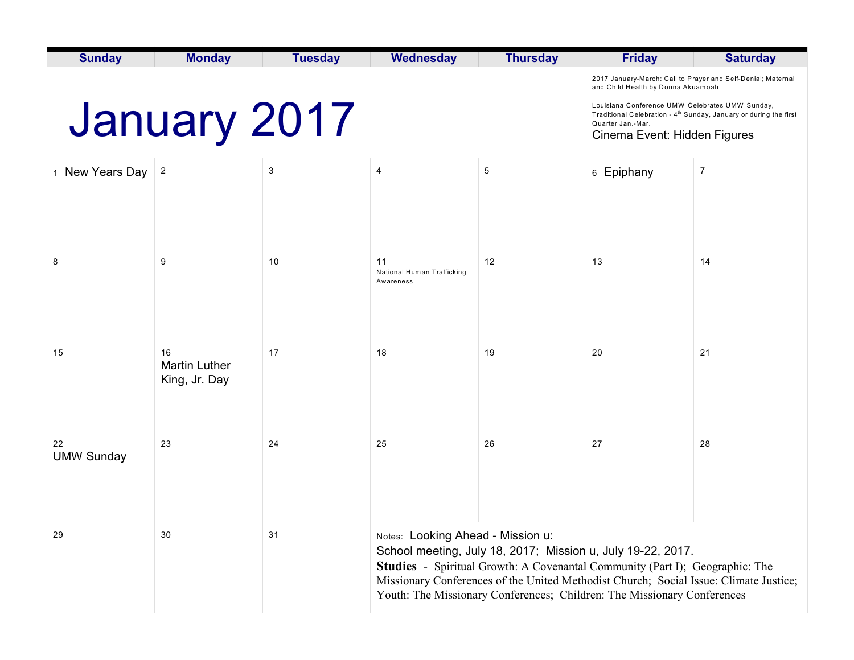| <b>Sunday</b>           | <b>Monday</b>                               | <b>Tuesday</b> | <b>Wednesday</b>                                                                                                                                                                                                                                                                                                                                            | <b>Thursday</b> | <b>Friday</b>                                                                                                                                                                         | <b>Saturday</b>                                              |  |
|-------------------------|---------------------------------------------|----------------|-------------------------------------------------------------------------------------------------------------------------------------------------------------------------------------------------------------------------------------------------------------------------------------------------------------------------------------------------------------|-----------------|---------------------------------------------------------------------------------------------------------------------------------------------------------------------------------------|--------------------------------------------------------------|--|
|                         |                                             |                |                                                                                                                                                                                                                                                                                                                                                             |                 | and Child Health by Donna Akuamoah                                                                                                                                                    | 2017 January-March: Call to Prayer and Self-Denial; Maternal |  |
| <b>January 2017</b>     |                                             |                |                                                                                                                                                                                                                                                                                                                                                             |                 | Louisiana Conference UMW Celebrates UMW Sunday,<br>Traditional Celebration - 4 <sup>th</sup> Sunday, January or during the first<br>Quarter Jan.-Mar.<br>Cinema Event: Hidden Figures |                                                              |  |
| 1 New Years Day         | $\overline{2}$                              | 3              | $\overline{4}$                                                                                                                                                                                                                                                                                                                                              | 5               | 6 Epiphany                                                                                                                                                                            | $\overline{7}$                                               |  |
|                         |                                             |                |                                                                                                                                                                                                                                                                                                                                                             |                 |                                                                                                                                                                                       |                                                              |  |
| 8                       | 9                                           | 10             | 11<br>National Human Trafficking<br>Awareness                                                                                                                                                                                                                                                                                                               | 12              | 13                                                                                                                                                                                    | 14                                                           |  |
| 15                      | 16<br><b>Martin Luther</b><br>King, Jr. Day | 17             | 18                                                                                                                                                                                                                                                                                                                                                          | 19              | 20                                                                                                                                                                                    | 21                                                           |  |
| 22<br><b>UMW Sunday</b> | 23                                          | 24             | 25                                                                                                                                                                                                                                                                                                                                                          | 26              | 27                                                                                                                                                                                    | 28                                                           |  |
| 29                      | 30                                          | 31             | Notes: Looking Ahead - Mission u:<br>School meeting, July 18, 2017; Mission u, July 19-22, 2017.<br><b>Studies</b> - Spiritual Growth: A Covenantal Community (Part I); Geographic: The<br>Missionary Conferences of the United Methodist Church; Social Issue: Climate Justice;<br>Youth: The Missionary Conferences; Children: The Missionary Conferences |                 |                                                                                                                                                                                       |                                                              |  |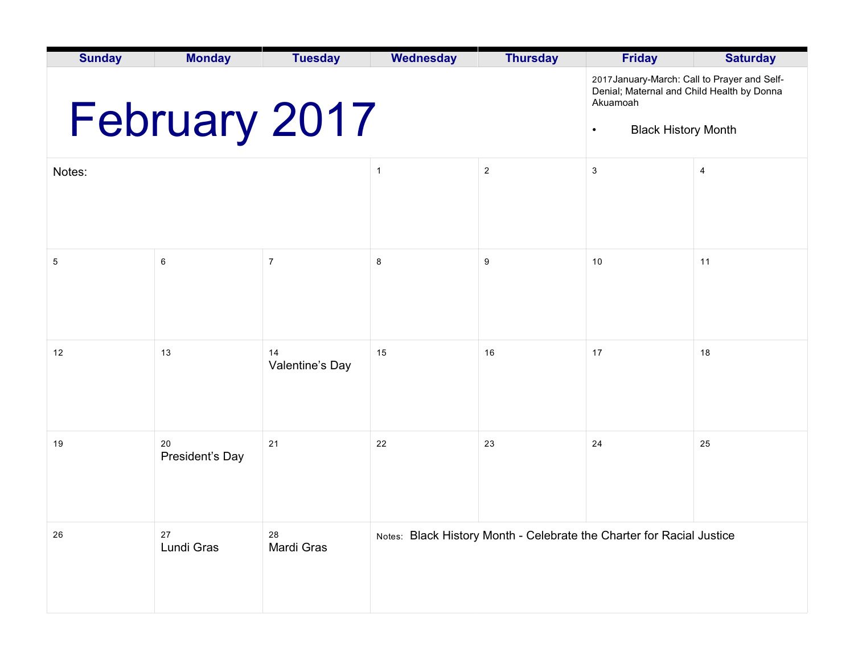| <b>Sunday</b> | <b>Monday</b>         | <b>Tuesday</b>                                                                                                                                    | <b>Wednesday</b> | <b>Thursday</b>                                                       | <b>Friday</b> | <b>Saturday</b> |
|---------------|-----------------------|---------------------------------------------------------------------------------------------------------------------------------------------------|------------------|-----------------------------------------------------------------------|---------------|-----------------|
|               | February 2017         | 2017 January-March: Call to Prayer and Self-<br>Denial; Maternal and Child Health by Donna<br>Akuamoah<br><b>Black History Month</b><br>$\bullet$ |                  |                                                                       |               |                 |
| Notes:        |                       |                                                                                                                                                   | $\mathbf{1}$     | $\overline{c}$                                                        | 3             | 4               |
|               |                       |                                                                                                                                                   |                  |                                                                       |               |                 |
| 5             | 6                     | $\boldsymbol{7}$                                                                                                                                  | 8                | 9                                                                     | 10            | 11              |
| 12            | 13                    | 14<br>Valentine's Day                                                                                                                             | 15               | 16                                                                    | 17            | 18              |
| 19            | 20<br>President's Day | 21                                                                                                                                                | 22               | 23                                                                    | 24            | 25              |
| 26            | 27<br>Lundi Gras      | 28<br>Mardi Gras                                                                                                                                  |                  | Notes: Black History Month - Celebrate the Charter for Racial Justice |               |                 |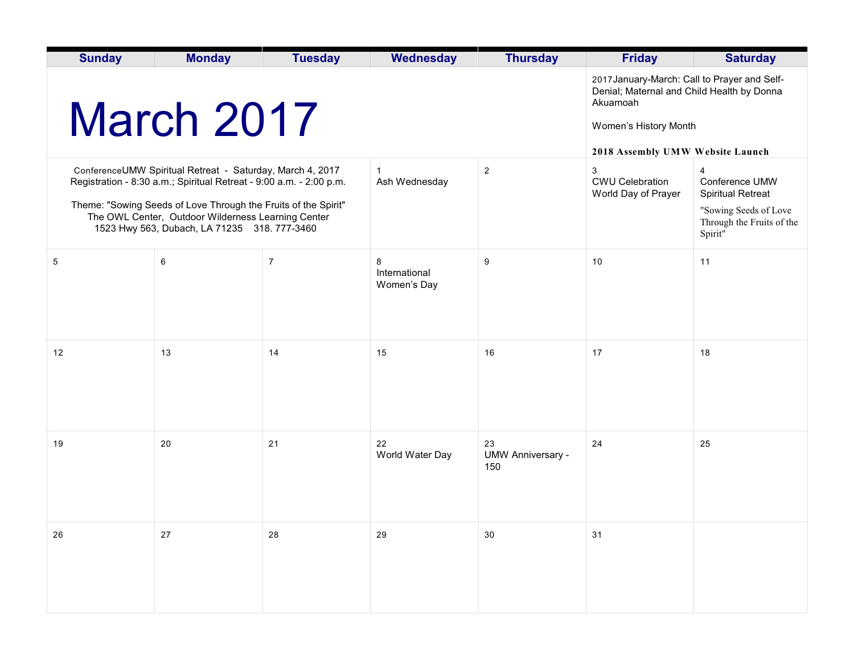| <b>Sunday</b>                                                                                                                                                                                                                                                                                            | <b>Monday</b> | <b>Tuesday</b> | <b>Wednesday</b>                  | <b>Thursday</b>                       | <b>Friday</b>                                                                                                                                                       | <b>Saturday</b>                                                                                                  |
|----------------------------------------------------------------------------------------------------------------------------------------------------------------------------------------------------------------------------------------------------------------------------------------------------------|---------------|----------------|-----------------------------------|---------------------------------------|---------------------------------------------------------------------------------------------------------------------------------------------------------------------|------------------------------------------------------------------------------------------------------------------|
|                                                                                                                                                                                                                                                                                                          | March 2017    |                |                                   |                                       | 2017 January-March: Call to Prayer and Self-<br>Denial; Maternal and Child Health by Donna<br>Akuamoah<br>Women's History Month<br>2018 Assembly UMW Website Launch |                                                                                                                  |
| ConferenceUMW Spiritual Retreat - Saturday, March 4, 2017<br>Registration - 8:30 a.m.; Spiritual Retreat - 9:00 a.m. - 2:00 p.m.<br>Theme: "Sowing Seeds of Love Through the Fruits of the Spirit"<br>The OWL Center, Outdoor Wilderness Learning Center<br>1523 Hwy 563, Dubach, LA 71235 318. 777-3460 |               |                | Ash Wednesday                     | $\sqrt{2}$                            | 3<br><b>CWU Celebration</b><br>World Day of Prayer                                                                                                                  | 4<br>Conference UMW<br><b>Spiritual Retreat</b><br>"Sowing Seeds of Love<br>Through the Fruits of the<br>Spirit" |
| 5                                                                                                                                                                                                                                                                                                        | 6             | 7              | 8<br>International<br>Women's Day | 9                                     | 10                                                                                                                                                                  | 11                                                                                                               |
| 12                                                                                                                                                                                                                                                                                                       | 13            | 14             | 15                                | 16                                    | 17                                                                                                                                                                  | 18                                                                                                               |
| 19                                                                                                                                                                                                                                                                                                       | 20            | 21             | 22<br>World Water Day             | 23<br><b>UMW Anniversary -</b><br>150 | 24                                                                                                                                                                  | 25                                                                                                               |
| 26                                                                                                                                                                                                                                                                                                       | 27            | 28             | 29                                | 30                                    | 31                                                                                                                                                                  |                                                                                                                  |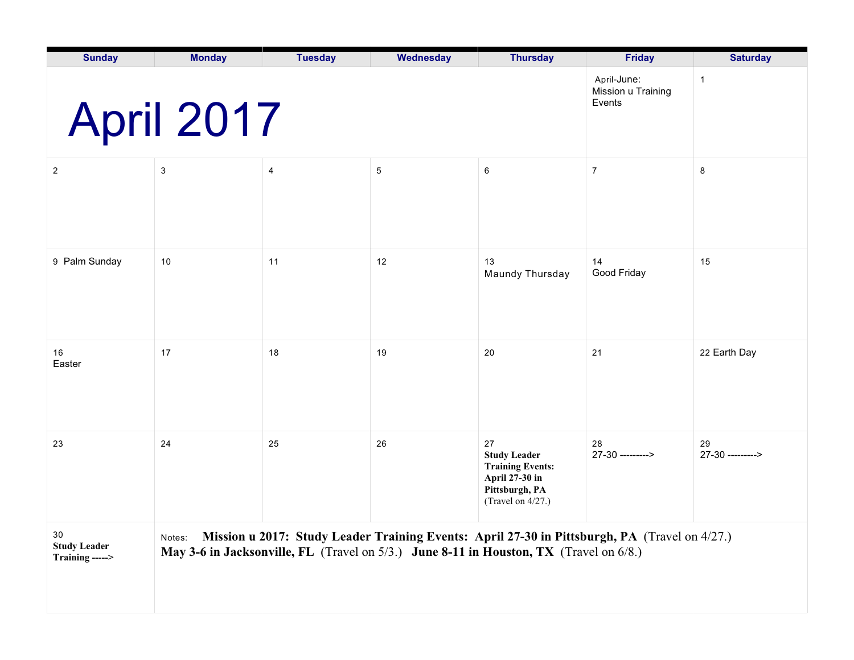| <b>Sunday</b>                                | <b>Monday</b>     | <b>Tuesday</b>                                                                         | Wednesday      | <b>Thursday</b>                                                                                                  | Friday                                                                                        | <b>Saturday</b>        |
|----------------------------------------------|-------------------|----------------------------------------------------------------------------------------|----------------|------------------------------------------------------------------------------------------------------------------|-----------------------------------------------------------------------------------------------|------------------------|
|                                              | <b>April 2017</b> | April-June:<br>Mission u Training<br>Events                                            | $\mathbf{1}$   |                                                                                                                  |                                                                                               |                        |
| $\overline{2}$                               | $\mathbf{3}$      | 4                                                                                      | $\overline{5}$ | $\,6\,$                                                                                                          | $\overline{7}$                                                                                | 8                      |
| 9 Palm Sunday                                | 10                | 11                                                                                     | 12             | 13<br>Maundy Thursday                                                                                            | 14<br>Good Friday                                                                             | 15                     |
| 16<br>Easter                                 | 17                | 18                                                                                     | 19             | 20                                                                                                               | 21                                                                                            | 22 Earth Day           |
| 23                                           | 24                | 25                                                                                     | 26             | 27<br><b>Study Leader</b><br><b>Training Events:</b><br>April 27-30 in<br>Pittsburgh, PA<br>(Travel on $4/27$ .) | 28<br>27-30 --------->                                                                        | 29<br>27-30 ---------> |
| 30<br><b>Study Leader</b><br>Training -----> | Notes:            | May 3-6 in Jacksonville, FL (Travel on 5/3.) June 8-11 in Houston, TX (Travel on 6/8.) |                |                                                                                                                  | Mission u 2017: Study Leader Training Events: April 27-30 in Pittsburgh, PA (Travel on 4/27.) |                        |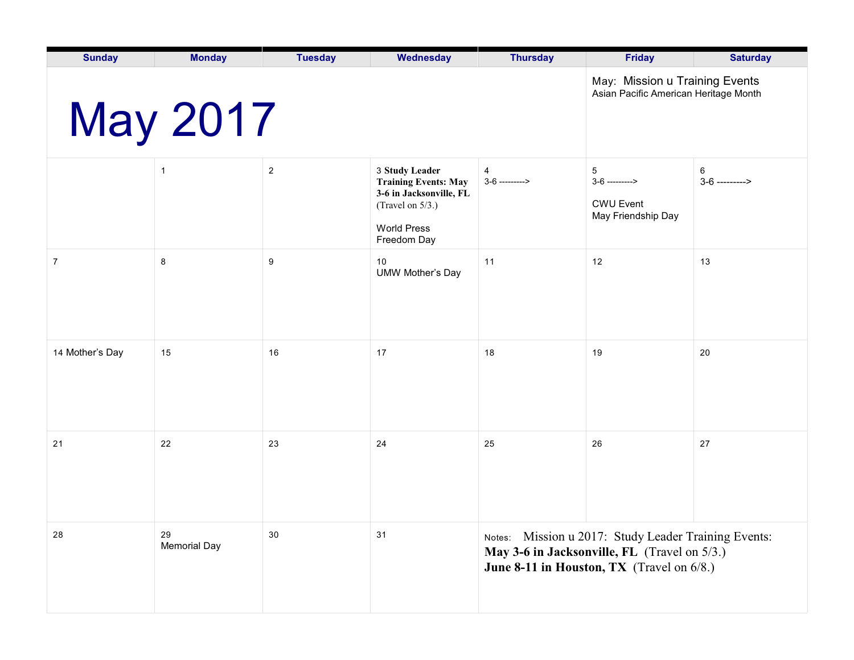| <b>Sunday</b>   | <b>Monday</b>             | <b>Tuesday</b>                                                          | Wednesday                                                                                                                         | <b>Thursday</b>                                                                                                                                      | <b>Friday</b>                                                   | <b>Saturday</b>       |  |
|-----------------|---------------------------|-------------------------------------------------------------------------|-----------------------------------------------------------------------------------------------------------------------------------|------------------------------------------------------------------------------------------------------------------------------------------------------|-----------------------------------------------------------------|-----------------------|--|
|                 | <b>May 2017</b>           | May: Mission u Training Events<br>Asian Pacific American Heritage Month |                                                                                                                                   |                                                                                                                                                      |                                                                 |                       |  |
|                 | $\mathbf{1}$              | $\overline{c}$                                                          | 3 Study Leader<br><b>Training Events: May</b><br>3-6 in Jacksonville, FL<br>(Travel on 5/3.)<br><b>World Press</b><br>Freedom Day | $\overline{4}$<br>$3-6$ --------->                                                                                                                   | 5<br>$3-6$ ---------><br><b>CWU Event</b><br>May Friendship Day | 6<br>$3-6$ ---------> |  |
| 7               | 8                         | 9                                                                       | 10<br><b>UMW Mother's Day</b>                                                                                                     | 11                                                                                                                                                   | 12                                                              | 13                    |  |
| 14 Mother's Day | 15                        | 16                                                                      | 17                                                                                                                                | 18                                                                                                                                                   | 19                                                              | 20                    |  |
| 21              | 22                        | 23                                                                      | 24                                                                                                                                | 25                                                                                                                                                   | 26                                                              | 27                    |  |
| 28              | 29<br><b>Memorial Day</b> | 30                                                                      | 31                                                                                                                                | Notes: Mission u 2017: Study Leader Training Events:<br>May 3-6 in Jacksonville, FL (Travel on 5/3.)<br>June 8-11 in Houston, TX (Travel on $6/8$ .) |                                                                 |                       |  |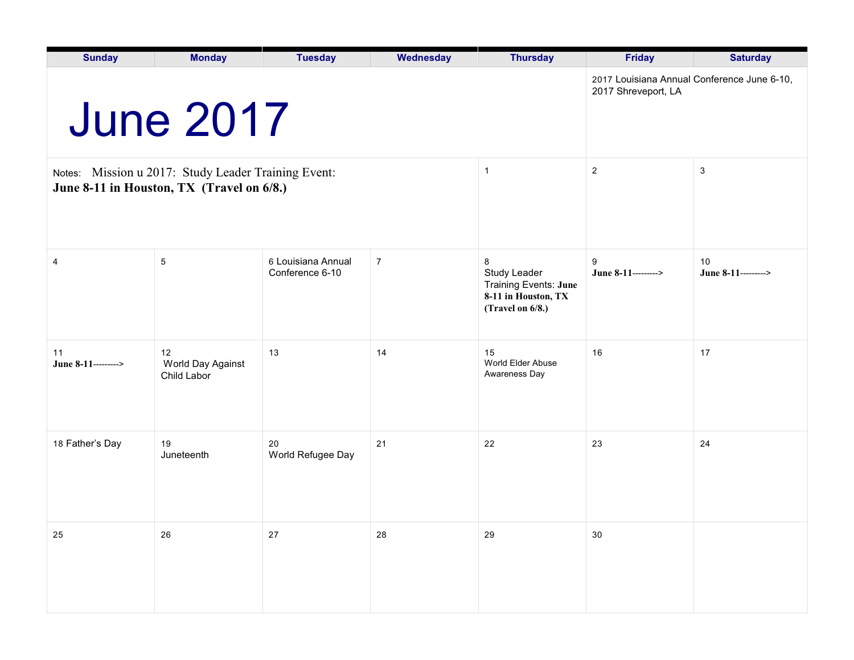| <b>Sunday</b>                                                                                    | <b>Monday</b>                          | <b>Tuesday</b>                                                     | Wednesday      | <b>Thursday</b>                                                                                     | <b>Friday</b>            | <b>Saturday</b>           |
|--------------------------------------------------------------------------------------------------|----------------------------------------|--------------------------------------------------------------------|----------------|-----------------------------------------------------------------------------------------------------|--------------------------|---------------------------|
|                                                                                                  | <b>June 2017</b>                       | 2017 Louisiana Annual Conference June 6-10,<br>2017 Shreveport, LA |                |                                                                                                     |                          |                           |
| Notes: Mission u 2017: Study Leader Training Event:<br>June 8-11 in Houston, TX (Travel on 6/8.) |                                        |                                                                    |                | $\mathbf{1}$                                                                                        | $\sqrt{2}$               | $\sqrt{3}$                |
| 4                                                                                                | 5                                      | 6 Louisiana Annual<br>Conference 6-10                              | $\overline{7}$ | 8<br><b>Study Leader</b><br><b>Training Events: June</b><br>8-11 in Houston, TX<br>(Travel on 6/8.) | 9<br>June 8-11---------> | 10<br>June 8-11---------> |
| 11<br>June 8-11-------->                                                                         | 12<br>World Day Against<br>Child Labor | 13                                                                 | 14             | 15<br>World Elder Abuse<br>Awareness Day                                                            | 16                       | 17                        |
| 18 Father's Day                                                                                  | 19<br>Juneteenth                       | 20<br>World Refugee Day                                            | 21             | 22                                                                                                  | 23                       | 24                        |
| 25                                                                                               | 26                                     | 27                                                                 | 28             | 29                                                                                                  | $30\,$                   |                           |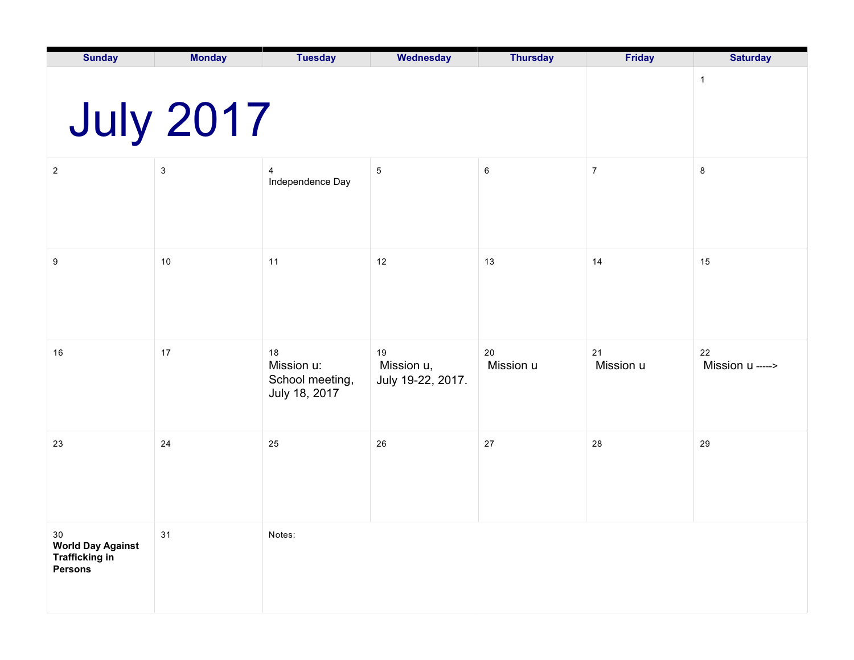| <b>Sunday</b>                                                                 | <b>Monday</b>    | <b>Tuesday</b>                                       | Wednesday                             | <b>Thursday</b> | Friday          | <b>Saturday</b>        |
|-------------------------------------------------------------------------------|------------------|------------------------------------------------------|---------------------------------------|-----------------|-----------------|------------------------|
|                                                                               | <b>July 2017</b> |                                                      | $\mathbf{1}$                          |                 |                 |                        |
| $\sqrt{2}$                                                                    | $\sqrt{3}$       | 4<br>Independence Day                                | $5\phantom{.0}$                       | $\,6\,$         | $\overline{7}$  | $\bf 8$                |
| 9                                                                             | $10$             | 11                                                   | 12                                    | 13              | 14              | 15                     |
| 16                                                                            | $17$             | 18<br>Mission u:<br>School meeting,<br>July 18, 2017 | 19<br>Mission u,<br>July 19-22, 2017. | 20<br>Mission u | 21<br>Mission u | 22<br>Mission u -----> |
| 23                                                                            | 24               | 25                                                   | 26                                    | 27              | 28              | 29                     |
| $30\,$<br><b>World Day Against</b><br><b>Trafficking in</b><br><b>Persons</b> | 31               | Notes:                                               |                                       |                 |                 |                        |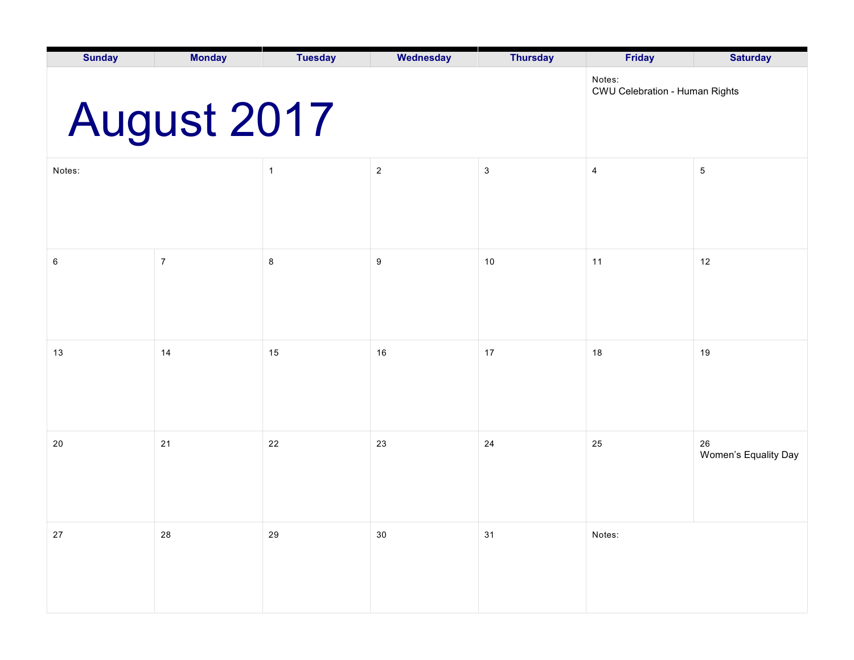| <b>Sunday</b>                                           | <b>Monday</b>    | <b>Tuesday</b> | <b>Wednesday</b> | <b>Thursday</b> | <b>Friday</b>  | <b>Saturday</b>            |  |  |
|---------------------------------------------------------|------------------|----------------|------------------|-----------------|----------------|----------------------------|--|--|
| Notes:<br>CWU Celebration - Human Rights<br>August 2017 |                  |                |                  |                 |                |                            |  |  |
| Notes:                                                  |                  | $\mathbf{1}$   | $\sqrt{2}$       | $\sqrt{3}$      | $\overline{4}$ | $\,$ 5 $\,$                |  |  |
|                                                         |                  |                |                  |                 |                |                            |  |  |
| 6                                                       | $\boldsymbol{7}$ | $\bf 8$        | $\boldsymbol{9}$ | 10              | 11             | 12                         |  |  |
|                                                         |                  |                |                  |                 |                |                            |  |  |
| 13                                                      | 14               | 15             | 16               | 17              | 18             | 19                         |  |  |
|                                                         |                  |                |                  |                 |                |                            |  |  |
| 20                                                      | 21               | 22             | 23               | 24              | 25             | 26<br>Women's Equality Day |  |  |
|                                                         |                  |                |                  |                 |                |                            |  |  |
| $27\,$                                                  | 28               | 29             | $30\,$           | 31              | Notes:         |                            |  |  |
|                                                         |                  |                |                  |                 |                |                            |  |  |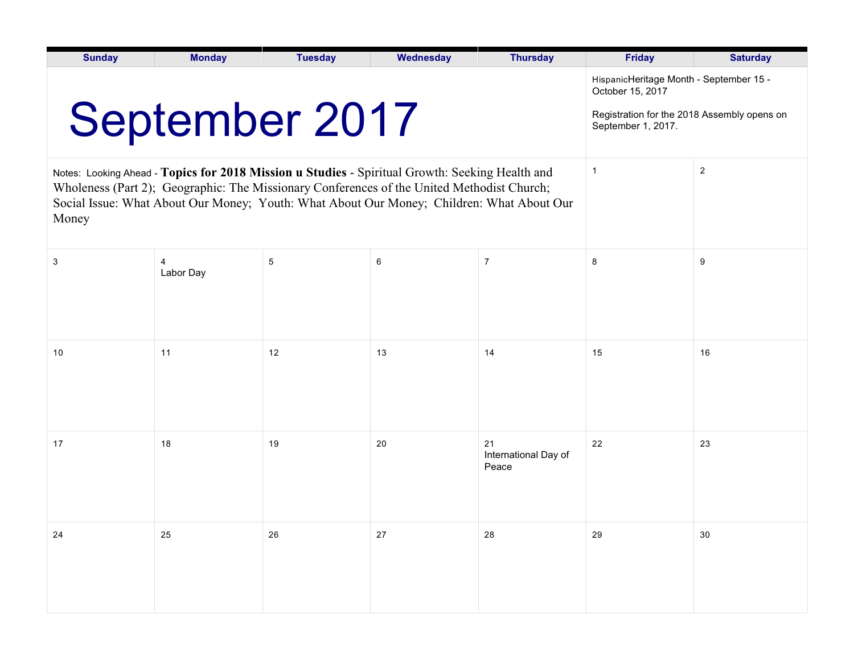| <b>Sunday</b> | <b>Monday</b>                                                                                                                                                                                                                                                                              | <b>Tuesday</b>                                                                                                                   | Wednesday      | <b>Thursday</b>                     | <b>Friday</b> | <b>Saturday</b> |
|---------------|--------------------------------------------------------------------------------------------------------------------------------------------------------------------------------------------------------------------------------------------------------------------------------------------|----------------------------------------------------------------------------------------------------------------------------------|----------------|-------------------------------------|---------------|-----------------|
|               | <b>September 2017</b>                                                                                                                                                                                                                                                                      | HispanicHeritage Month - September 15 -<br>October 15, 2017<br>Registration for the 2018 Assembly opens on<br>September 1, 2017. |                |                                     |               |                 |
| Money         | Notes: Looking Ahead - Topics for 2018 Mission u Studies - Spiritual Growth: Seeking Health and<br>Wholeness (Part 2); Geographic: The Missionary Conferences of the United Methodist Church;<br>Social Issue: What About Our Money; Youth: What About Our Money; Children: What About Our | $\overline{1}$                                                                                                                   | $\overline{2}$ |                                     |               |                 |
| 3             | 4<br>Labor Day                                                                                                                                                                                                                                                                             | 5                                                                                                                                | 6              | $\overline{7}$                      | 8             | 9               |
| 10            | 11                                                                                                                                                                                                                                                                                         | 12                                                                                                                               | 13             | 14                                  | 15            | 16              |
| 17            | 18                                                                                                                                                                                                                                                                                         | 19                                                                                                                               | 20             | 21<br>International Day of<br>Peace | 22            | 23              |
| 24            | 25                                                                                                                                                                                                                                                                                         | 26                                                                                                                               | 27             | 28                                  | 29            | 30              |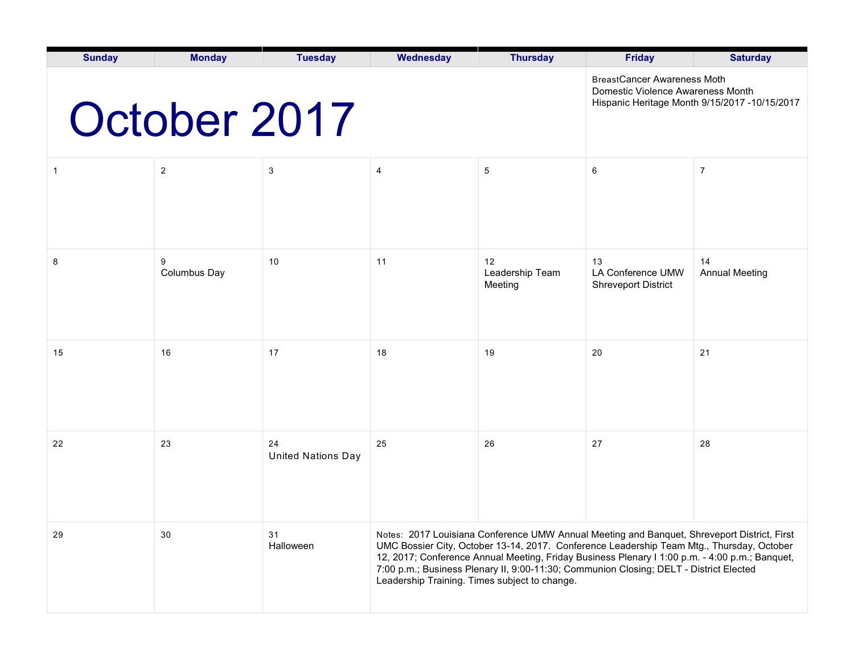| <b>Sunday</b> | <b>Monday</b>     | <b>Tuesday</b>                                                          | Wednesday                                     | <b>Thursday</b>                               | <b>Friday</b>                                                                                                                                                                                                                                                                                                                                                                        | <b>Saturday</b>             |
|---------------|-------------------|-------------------------------------------------------------------------|-----------------------------------------------|-----------------------------------------------|--------------------------------------------------------------------------------------------------------------------------------------------------------------------------------------------------------------------------------------------------------------------------------------------------------------------------------------------------------------------------------------|-----------------------------|
|               | October 2017      | <b>BreastCancer Awareness Moth</b><br>Domestic Violence Awareness Month | Hispanic Heritage Month 9/15/2017 -10/15/2017 |                                               |                                                                                                                                                                                                                                                                                                                                                                                      |                             |
| 1             | $\overline{2}$    | $\ensuremath{\mathsf{3}}$                                               | $\overline{4}$                                | 5                                             | 6                                                                                                                                                                                                                                                                                                                                                                                    | $\overline{7}$              |
| 8             | 9<br>Columbus Day | 10                                                                      | 11                                            | 12<br>Leadership Team<br>Meeting              | 13<br>LA Conference UMW<br><b>Shreveport District</b>                                                                                                                                                                                                                                                                                                                                | 14<br><b>Annual Meeting</b> |
| 15            | 16                | 17                                                                      | 18                                            | 19                                            | 20                                                                                                                                                                                                                                                                                                                                                                                   | 21                          |
| 22            | 23                | 24<br><b>United Nations Day</b>                                         | 25                                            | 26                                            | 27                                                                                                                                                                                                                                                                                                                                                                                   | 28                          |
| 29            | 30                | 31<br>Halloween                                                         |                                               | Leadership Training. Times subject to change. | Notes: 2017 Louisiana Conference UMW Annual Meeting and Banquet, Shreveport District, First<br>UMC Bossier City, October 13-14, 2017. Conference Leadership Team Mtg., Thursday, October<br>12, 2017; Conference Annual Meeting, Friday Business Plenary I 1:00 p.m. - 4:00 p.m.; Banquet,<br>7:00 p.m.; Business Plenary II, 9:00-11:30; Communion Closing; DELT - District Elected |                             |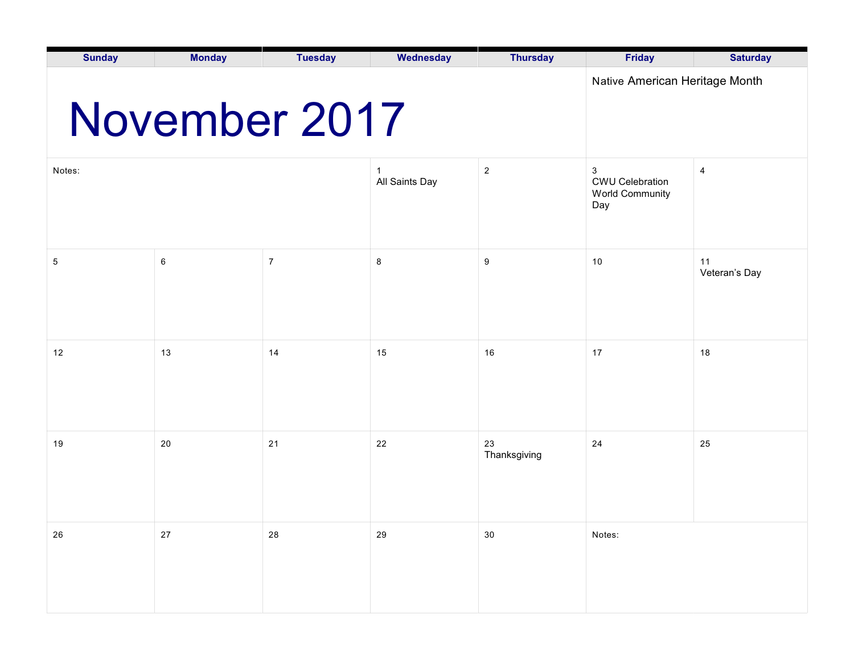| <b>Sunday</b>                                   | <b>Monday</b> | <b>Tuesday</b> | Wednesday            | <b>Thursday</b>    | <b>Friday</b>                                                | <b>Saturday</b>     |  |  |
|-------------------------------------------------|---------------|----------------|----------------------|--------------------|--------------------------------------------------------------|---------------------|--|--|
| Native American Heritage Month<br>November 2017 |               |                |                      |                    |                                                              |                     |  |  |
| Notes:                                          |               |                | -1<br>All Saints Day | $\overline{2}$     | 3<br><b>CWU Celebration</b><br><b>World Community</b><br>Day | 4                   |  |  |
| 5                                               | 6             | $\overline{7}$ | 8                    | 9                  | $10$                                                         | 11<br>Veteran's Day |  |  |
| 12                                              | 13            | 14             | 15                   | 16                 | 17                                                           | 18                  |  |  |
| 19                                              | 20            | 21             | 22                   | 23<br>Thanksgiving | 24                                                           | 25                  |  |  |
| 26                                              | $27\,$        | ${\bf 28}$     | 29                   | $30\,$             | Notes:                                                       |                     |  |  |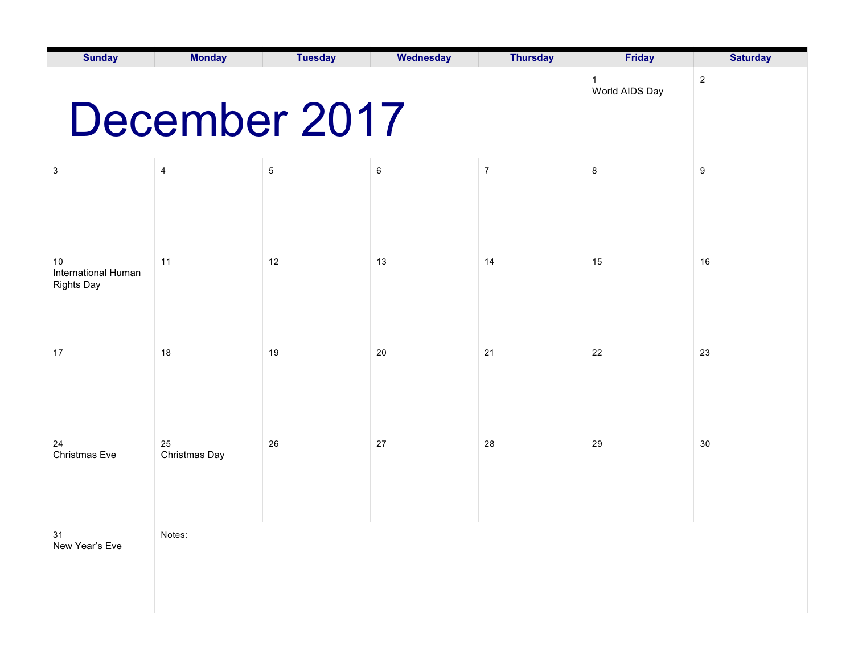| <b>Sunday</b>                                  | <b>Monday</b>       | <b>Tuesday</b> | Wednesday | <b>Thursday</b> | <b>Friday</b> | <b>Saturday</b> |
|------------------------------------------------|---------------------|----------------|-----------|-----------------|---------------|-----------------|
| December 2017                                  | $\overline{2}$      |                |           |                 |               |                 |
| $\mathfrak{S}$                                 | 4                   | $\mathbf 5$    | $\,6$     | $\overline{7}$  | $\bf8$        | $9\,$           |
| 10<br>International Human<br><b>Rights Day</b> | 11                  | 12             | 13        | 14              | 15            | 16              |
| 17                                             | 18                  | 19             | 20        | 21              | 22            | 23              |
| 24<br>Christmas Eve                            | 25<br>Christmas Day | 26             | 27        | 28              | 29            | 30              |
| 31<br>New Year's Eve                           | Notes:              |                |           |                 |               |                 |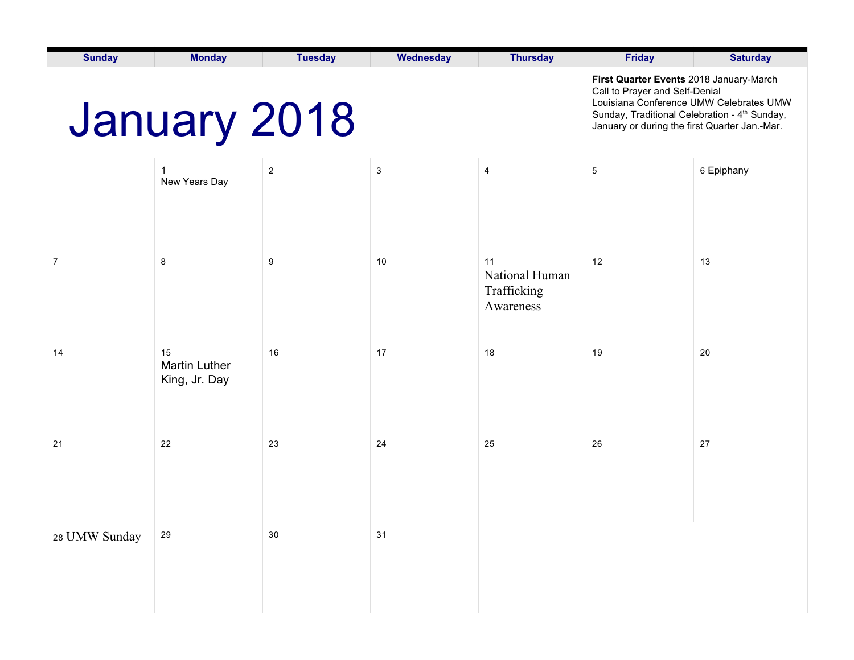| <b>Sunday</b> | <b>Monday</b>                               | <b>Tuesday</b> | Wednesday    | <b>Thursday</b>                                  | <b>Friday</b>                                                                                                                                                                                                                      | <b>Saturday</b> |
|---------------|---------------------------------------------|----------------|--------------|--------------------------------------------------|------------------------------------------------------------------------------------------------------------------------------------------------------------------------------------------------------------------------------------|-----------------|
| January 2018  |                                             |                |              |                                                  | First Quarter Events 2018 January-March<br>Call to Prayer and Self-Denial<br>Louisiana Conference UMW Celebrates UMW<br>Sunday, Traditional Celebration - 4 <sup>th</sup> Sunday,<br>January or during the first Quarter Jan.-Mar. |                 |
|               | New Years Day                               | $\overline{2}$ | $\mathbf{3}$ | $\overline{\mathbf{4}}$                          | $\mathbf 5$                                                                                                                                                                                                                        | 6 Epiphany      |
| 7             | 8                                           | 9              | 10           | 11<br>National Human<br>Trafficking<br>Awareness | 12                                                                                                                                                                                                                                 | 13              |
| 14            | 15<br><b>Martin Luther</b><br>King, Jr. Day | 16             | 17           | 18                                               | 19                                                                                                                                                                                                                                 | 20              |
| 21            | 22                                          | 23             | 24           | 25                                               | 26                                                                                                                                                                                                                                 | 27              |
| 28 UMW Sunday | 29                                          | $30\,$         | 31           |                                                  |                                                                                                                                                                                                                                    |                 |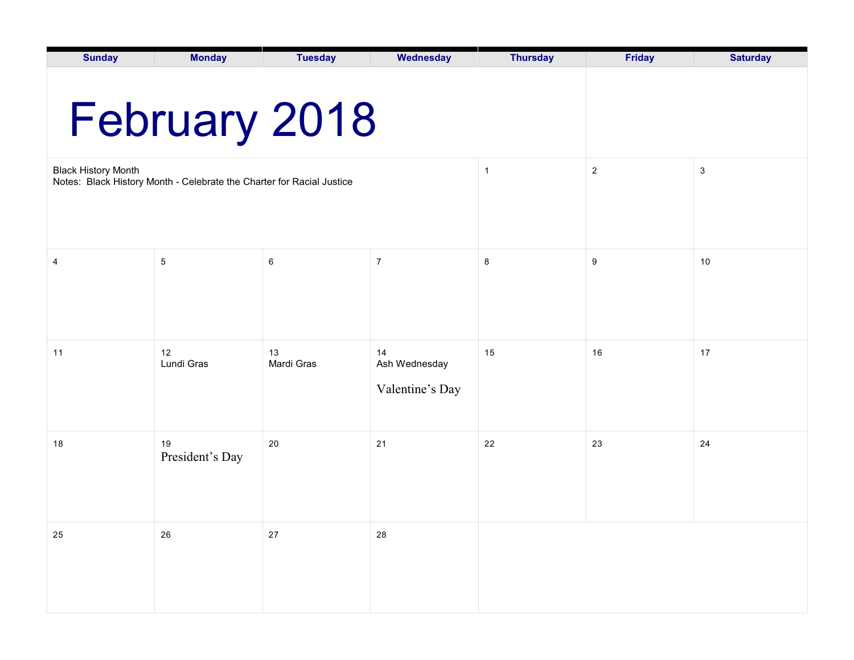| <b>Sunday</b>              | <b>Monday</b>                                                         | <b>Tuesday</b>   | Wednesday                              | <b>Thursday</b> | <b>Friday</b> | <b>Saturday</b> |  |  |
|----------------------------|-----------------------------------------------------------------------|------------------|----------------------------------------|-----------------|---------------|-----------------|--|--|
| February 2018              |                                                                       |                  |                                        |                 |               |                 |  |  |
| <b>Black History Month</b> | Notes: Black History Month - Celebrate the Charter for Racial Justice |                  | $\mathbf{1}$                           | $\overline{2}$  | $\mathbf{3}$  |                 |  |  |
|                            |                                                                       |                  |                                        |                 |               |                 |  |  |
| 4                          | $\,$ 5 $\,$                                                           | $\,6\,$          | $\overline{7}$                         | 8               | 9             | 10              |  |  |
|                            |                                                                       |                  |                                        |                 |               |                 |  |  |
| 11                         | 12<br>Lundi Gras                                                      | 13<br>Mardi Gras | 14<br>Ash Wednesday<br>Valentine's Day | 15              | 16            | 17              |  |  |
| 18                         | 19<br>President's Day                                                 | 20               | 21                                     | 22              | 23            | 24              |  |  |
| 25                         | 26                                                                    | $27\,$           | ${\bf 28}$                             |                 |               |                 |  |  |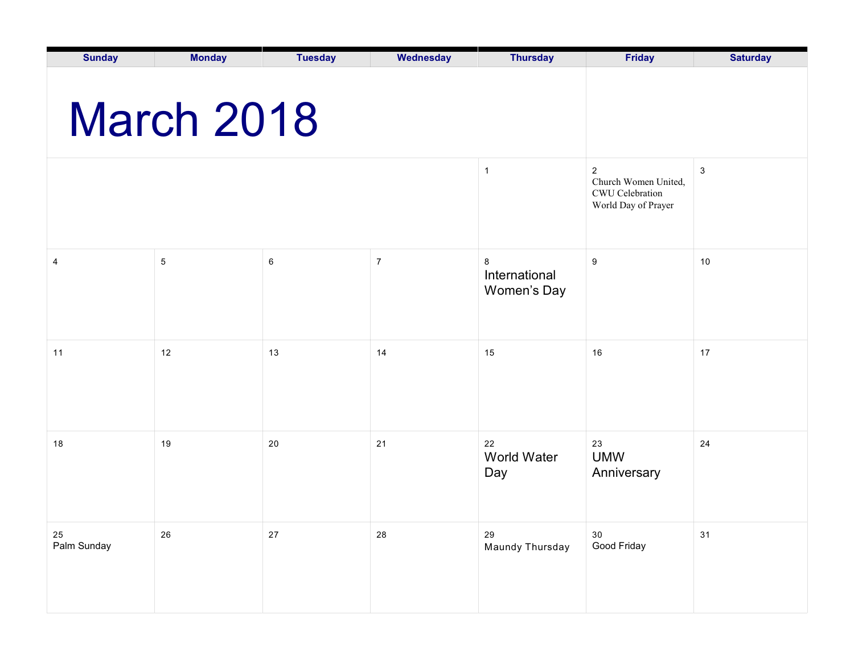| <b>Sunday</b>         | <b>Monday</b> | <b>Tuesday</b> | Wednesday      | <b>Thursday</b>                         | <b>Friday</b>                                                                | <b>Saturday</b> |  |  |  |
|-----------------------|---------------|----------------|----------------|-----------------------------------------|------------------------------------------------------------------------------|-----------------|--|--|--|
| <b>March 2018</b>     |               |                |                |                                         |                                                                              |                 |  |  |  |
|                       |               |                |                | $\mathbf{1}$                            | $\sqrt{2}$<br>Church Women United,<br>CWU Celebration<br>World Day of Prayer | $\mathbf{3}$    |  |  |  |
| 4                     | $\,$ 5 $\,$   | 6              | $\overline{7}$ | $\bf 8$<br>International<br>Women's Day | $\boldsymbol{9}$                                                             | $10$            |  |  |  |
| 11                    | 12            | 13             | 14             | 15                                      | 16                                                                           | $17$            |  |  |  |
| 18                    | 19            | 20             | 21             | 22<br>World Water<br>Day                | 23<br><b>UMW</b><br>Anniversary                                              | 24              |  |  |  |
| $25\,$<br>Palm Sunday | ${\bf 26}$    | $27\,$         | 28             | 29<br>Maundy Thursday                   | $30\,$<br>Good Friday                                                        | 31              |  |  |  |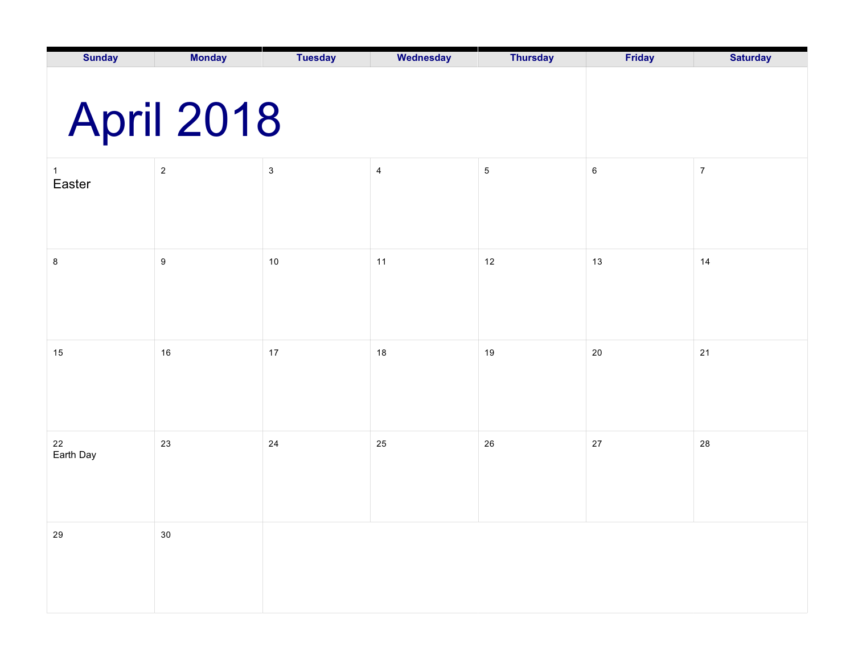| <b>Sunday</b>          | <b>Monday</b>  | <b>Tuesday</b>            | Wednesday                | <b>Thursday</b> | Friday  | <b>Saturday</b>  |
|------------------------|----------------|---------------------------|--------------------------|-----------------|---------|------------------|
|                        |                |                           |                          |                 |         |                  |
|                        | April 2018     |                           |                          |                 |         |                  |
| $\mathbf{1}$<br>Easter | $\overline{c}$ | $\ensuremath{\mathsf{3}}$ | $\overline{\mathcal{A}}$ | $\,$ 5 $\,$     | $\,6\,$ | $\boldsymbol{7}$ |
|                        |                |                           |                          |                 |         |                  |
| $\bf 8$                | 9              | $10$                      | 11                       | 12              | 13      | 14               |
|                        |                |                           |                          |                 |         |                  |
| 15                     | 16             | $17\,$                    | 18                       | 19              | 20      | $21$             |
|                        |                |                           |                          |                 |         |                  |
| 22<br>Earth Day        | 23             | 24                        | 25                       | 26              | $27\,$  | 28               |
|                        |                |                           |                          |                 |         |                  |
| ${\bf 29}$             | $30\,$         |                           |                          |                 |         |                  |
|                        |                |                           |                          |                 |         |                  |
|                        |                |                           |                          |                 |         |                  |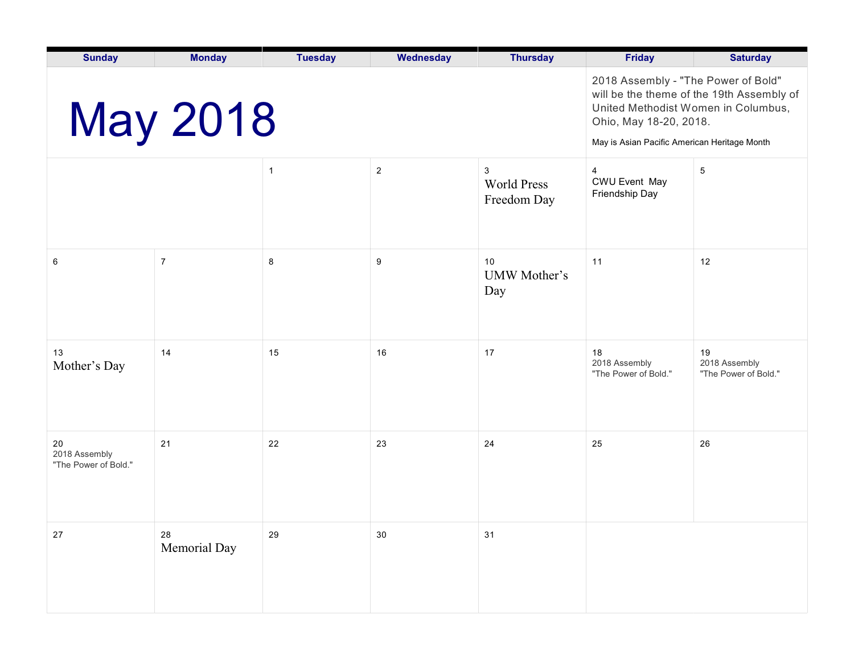| <b>Sunday</b>                               | <b>Monday</b>              | <b>Tuesday</b>                                                                                                                                                                                    | Wednesday      | <b>Thursday</b>                        | <b>Friday</b>                                            | <b>Saturday</b>                             |
|---------------------------------------------|----------------------------|---------------------------------------------------------------------------------------------------------------------------------------------------------------------------------------------------|----------------|----------------------------------------|----------------------------------------------------------|---------------------------------------------|
|                                             | <b>May 2018</b>            | 2018 Assembly - "The Power of Bold"<br>will be the theme of the 19th Assembly of<br>United Methodist Women in Columbus,<br>Ohio, May 18-20, 2018.<br>May is Asian Pacific American Heritage Month |                |                                        |                                                          |                                             |
|                                             |                            | $\mathbf{1}$                                                                                                                                                                                      | $\overline{2}$ | 3<br><b>World Press</b><br>Freedom Day | $\overline{4}$<br><b>CWU Event May</b><br>Friendship Day | $\overline{5}$                              |
| 6                                           | $\overline{7}$             | 8                                                                                                                                                                                                 | 9              | 10<br>UMW Mother's<br>Day              | 11                                                       | 12                                          |
| 13<br>Mother's Day                          | 14                         | 15                                                                                                                                                                                                | 16             | 17                                     | 18<br>2018 Assembly<br>"The Power of Bold."              | 19<br>2018 Assembly<br>"The Power of Bold." |
| 20<br>2018 Assembly<br>"The Power of Bold." | 21                         | 22                                                                                                                                                                                                | 23             | 24                                     | 25                                                       | 26                                          |
| 27                                          | ${\bf 28}$<br>Memorial Day | 29                                                                                                                                                                                                | $30\,$         | 31                                     |                                                          |                                             |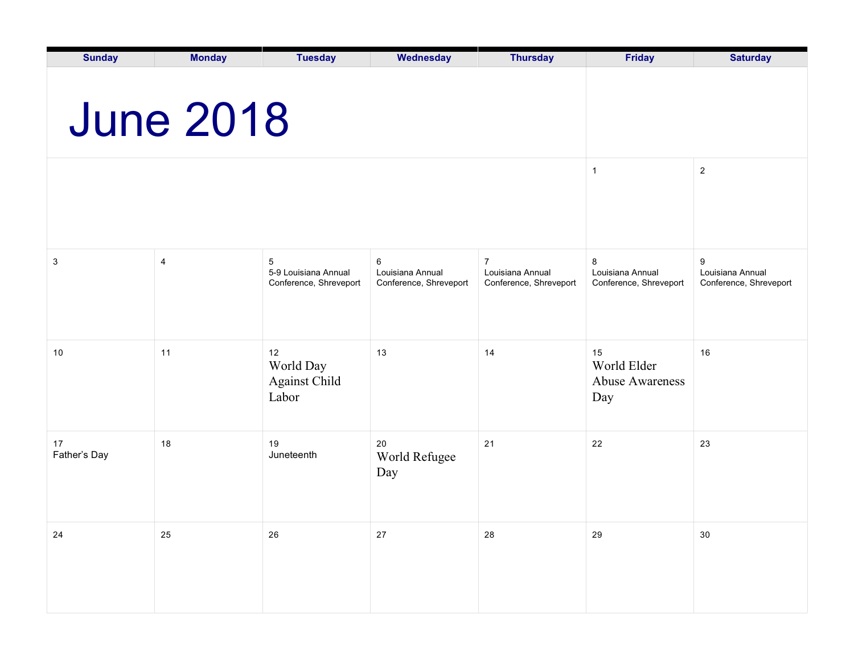| <b>Sunday</b>      | <b>Monday</b>           | <b>Tuesday</b>                                      | Wednesday                                       | <b>Thursday</b>                                              | <b>Friday</b>                                      | <b>Saturday</b>                                 |
|--------------------|-------------------------|-----------------------------------------------------|-------------------------------------------------|--------------------------------------------------------------|----------------------------------------------------|-------------------------------------------------|
|                    | <b>June 2018</b>        |                                                     |                                                 |                                                              |                                                    |                                                 |
|                    |                         |                                                     |                                                 |                                                              | $\mathbf{1}$                                       | $\sqrt{2}$                                      |
| 3                  | $\overline{\mathbf{4}}$ | 5<br>5-9 Louisiana Annual<br>Conference, Shreveport | 6<br>Louisiana Annual<br>Conference, Shreveport | $\overline{7}$<br>Louisiana Annual<br>Conference, Shreveport | 8<br>Louisiana Annual<br>Conference, Shreveport    | 9<br>Louisiana Annual<br>Conference, Shreveport |
| 10                 | 11                      | 12<br>World Day<br>Against Child<br>Labor           | 13                                              | 14                                                           | 15<br>World Elder<br><b>Abuse Awareness</b><br>Day | 16                                              |
| 17<br>Father's Day | 18                      | 19<br>Juneteenth                                    | 20<br>World Refugee<br>Day                      | 21                                                           | 22                                                 | 23                                              |
| 24                 | 25                      | 26                                                  | $27\,$                                          | 28                                                           | 29                                                 | $30\,$                                          |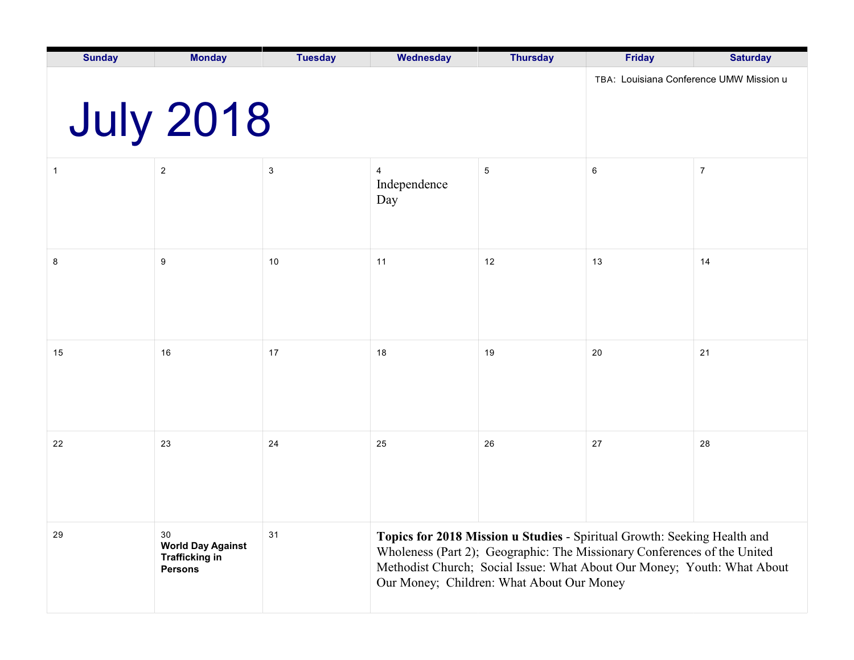| <b>Sunday</b> | <b>Monday</b>                                                             | <b>Tuesday</b>                          | Wednesday                                                                                                                                                                                                                                                                    | <b>Thursday</b> | <b>Friday</b> | <b>Saturday</b> |  |
|---------------|---------------------------------------------------------------------------|-----------------------------------------|------------------------------------------------------------------------------------------------------------------------------------------------------------------------------------------------------------------------------------------------------------------------------|-----------------|---------------|-----------------|--|
|               | <b>July 2018</b>                                                          | TBA: Louisiana Conference UMW Mission u |                                                                                                                                                                                                                                                                              |                 |               |                 |  |
| 1             | $\overline{2}$                                                            | $\ensuremath{\mathsf{3}}$               | $\overline{4}$<br>Independence<br>Day                                                                                                                                                                                                                                        | $\sqrt{5}$      | $\,6\,$       | $\overline{7}$  |  |
| 8             | 9                                                                         | 10                                      | 11                                                                                                                                                                                                                                                                           | 12              | 13            | 14              |  |
| 15            | 16                                                                        | 17                                      | 18                                                                                                                                                                                                                                                                           | 19              | 20            | 21              |  |
| 22            | 23                                                                        | 24                                      | 25                                                                                                                                                                                                                                                                           | 26              | 27            | 28              |  |
| 29            | 30<br><b>World Day Against</b><br><b>Trafficking in</b><br><b>Persons</b> | 31                                      | Topics for 2018 Mission u Studies - Spiritual Growth: Seeking Health and<br>Wholeness (Part 2); Geographic: The Missionary Conferences of the United<br>Methodist Church; Social Issue: What About Our Money; Youth: What About<br>Our Money; Children: What About Our Money |                 |               |                 |  |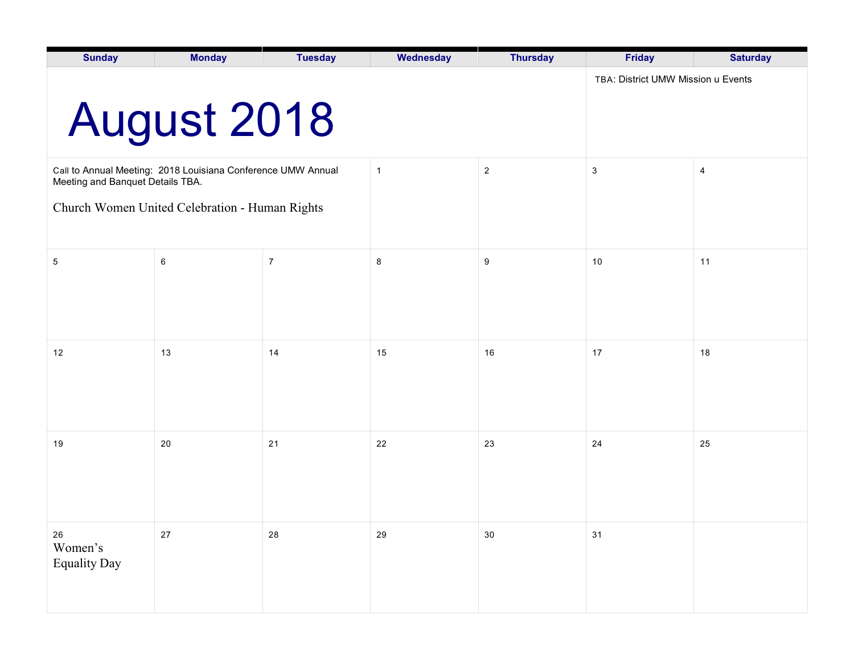| <b>Sunday</b>                                  | <b>Monday</b>                                                | <b>Tuesday</b> | Wednesday      | <b>Thursday</b> | <b>Friday</b>                      | <b>Saturday</b> |
|------------------------------------------------|--------------------------------------------------------------|----------------|----------------|-----------------|------------------------------------|-----------------|
|                                                | <b>August 2018</b>                                           |                |                |                 | TBA: District UMW Mission u Events |                 |
| Meeting and Banquet Details TBA.               | Call to Annual Meeting: 2018 Louisiana Conference UMW Annual |                | $\overline{1}$ | $\overline{2}$  | $\mathbf{3}$                       | 4               |
| Church Women United Celebration - Human Rights |                                                              |                |                |                 |                                    |                 |
| $5\phantom{.0}$                                | 6                                                            | $\overline{7}$ | 8              | 9               | 10                                 | 11              |
| 12                                             | 13                                                           | 14             | 15             | 16              | 17                                 | 18              |
| 19                                             | 20                                                           | 21             | 22             | 23              | 24                                 | 25              |
| $26\,$<br>Women's<br><b>Equality Day</b>       | 27                                                           | 28             | 29             | $30\,$          | 31                                 |                 |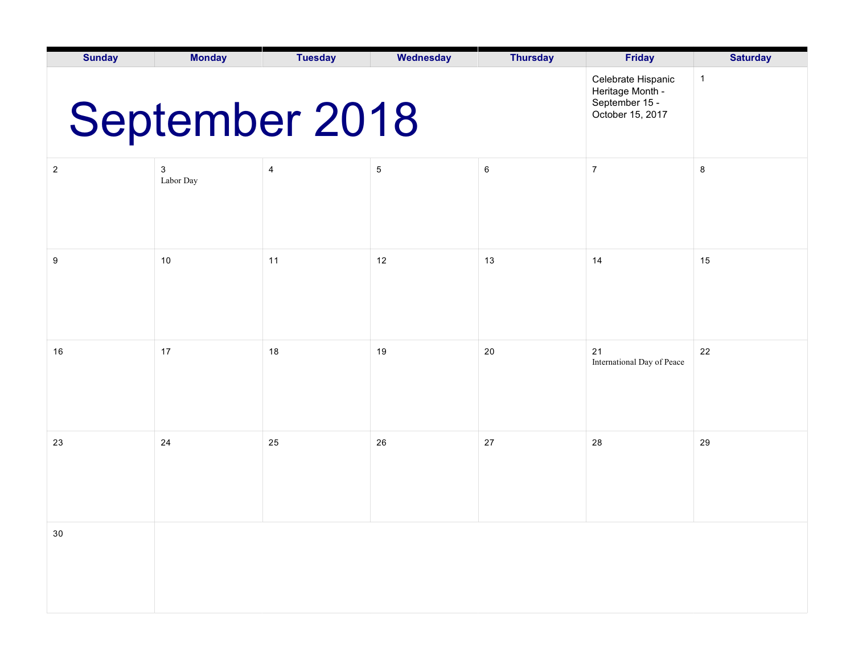| <b>Sunday</b>                                                                                  | <b>Monday</b>  | <b>Tuesday</b> | Wednesday  | <b>Thursday</b> | <b>Friday</b>                    | <b>Saturday</b> |  |
|------------------------------------------------------------------------------------------------|----------------|----------------|------------|-----------------|----------------------------------|-----------------|--|
| Celebrate Hispanic<br>Heritage Month -<br>September 15 -<br>September 2018<br>October 15, 2017 |                |                |            |                 |                                  |                 |  |
| $\sqrt{2}$                                                                                     | 3<br>Labor Day | 4              | $\sqrt{5}$ | 6               | $\boldsymbol{7}$                 | 8               |  |
| 9                                                                                              | 10             | 11             | 12         | 13              | 14                               | 15              |  |
| 16                                                                                             | 17             | 18             | 19         | 20              | 21<br>International Day of Peace | 22              |  |
| 23                                                                                             | 24             | 25             | 26         | 27              | 28                               | 29              |  |
| $30\,$                                                                                         |                |                |            |                 |                                  |                 |  |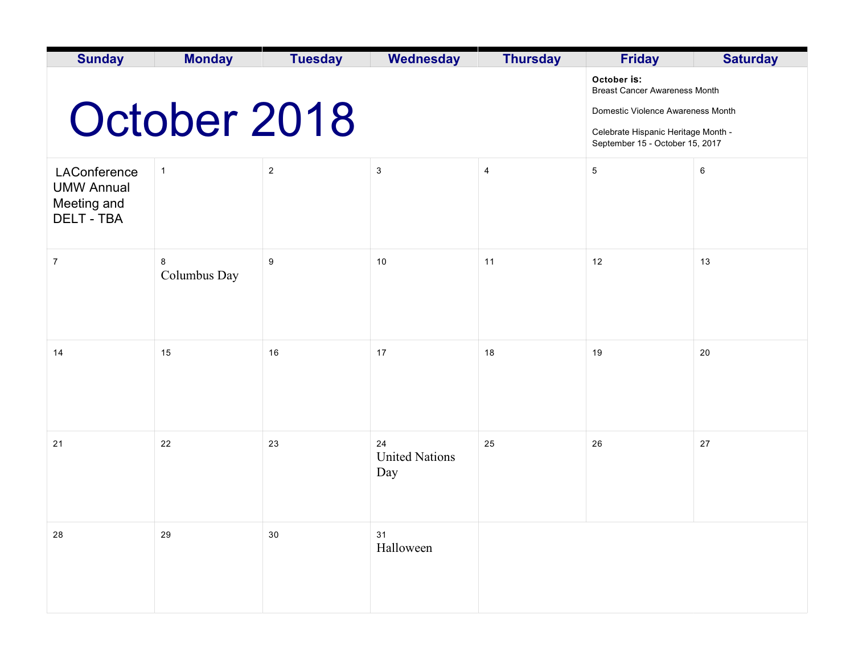| <b>Sunday</b>                                                         | <b>Monday</b>     | <b>Tuesday</b>                                                                                                                                                     | <b>Wednesday</b>                   | <b>Thursday</b> | <b>Friday</b>   | <b>Saturday</b> |
|-----------------------------------------------------------------------|-------------------|--------------------------------------------------------------------------------------------------------------------------------------------------------------------|------------------------------------|-----------------|-----------------|-----------------|
|                                                                       | October 2018      | October is:<br><b>Breast Cancer Awareness Month</b><br>Domestic Violence Awareness Month<br>Celebrate Hispanic Heritage Month -<br>September 15 - October 15, 2017 |                                    |                 |                 |                 |
| LAConference<br><b>UMW Annual</b><br>Meeting and<br><b>DELT - TBA</b> | $\mathbf{1}$      | $\overline{2}$                                                                                                                                                     | $\sqrt{3}$                         | $\overline{4}$  | $5\phantom{.0}$ | $\,6\,$         |
| $\boldsymbol{7}$                                                      | 8<br>Columbus Day | $\boldsymbol{9}$                                                                                                                                                   | 10                                 | 11              | $12$            | 13              |
| 14                                                                    | 15                | 16                                                                                                                                                                 | 17                                 | 18              | 19              | 20              |
| 21                                                                    | 22                | 23                                                                                                                                                                 | 24<br><b>United Nations</b><br>Day | 25              | 26              | 27              |
| 28                                                                    | 29                | 30                                                                                                                                                                 | 31<br>Halloween                    |                 |                 |                 |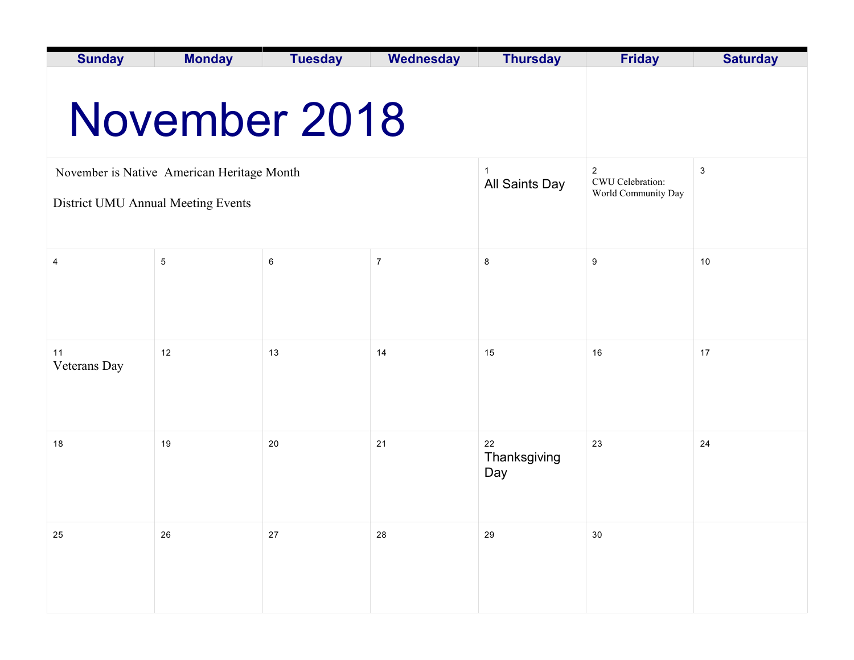| <b>Sunday</b>                      | <b>Monday</b>                              | <b>Tuesday</b> | <b>Wednesday</b> | <b>Thursday</b>                    | <b>Friday</b>       | <b>Saturday</b> |  |  |  |
|------------------------------------|--------------------------------------------|----------------|------------------|------------------------------------|---------------------|-----------------|--|--|--|
| November 2018                      |                                            |                |                  |                                    |                     |                 |  |  |  |
|                                    | November is Native American Heritage Month |                | $\mathbf 1$      | $\overline{2}$<br>CWU Celebration: | $\mathbf 3$         |                 |  |  |  |
| District UMU Annual Meeting Events |                                            |                |                  | All Saints Day                     | World Community Day |                 |  |  |  |
|                                    |                                            |                |                  |                                    |                     |                 |  |  |  |
| 4                                  | $\mathbf 5$                                | 6              | $\overline{7}$   | 8                                  | $9\,$               | 10              |  |  |  |
|                                    |                                            |                |                  |                                    |                     |                 |  |  |  |
|                                    |                                            |                |                  |                                    |                     |                 |  |  |  |
| 11<br>Veterans Day                 | 12                                         | 13             | 14               | 15                                 | 16                  | 17              |  |  |  |
|                                    |                                            |                |                  |                                    |                     |                 |  |  |  |
| 18                                 | 19                                         | 20             | 21               | 22<br>Thanksgiving<br>Day          | 23                  | 24              |  |  |  |
|                                    |                                            |                |                  |                                    |                     |                 |  |  |  |
| 25                                 | 26                                         | $27\,$         | 28               | 29                                 | 30                  |                 |  |  |  |
|                                    |                                            |                |                  |                                    |                     |                 |  |  |  |
|                                    |                                            |                |                  |                                    |                     |                 |  |  |  |
|                                    |                                            |                |                  |                                    |                     |                 |  |  |  |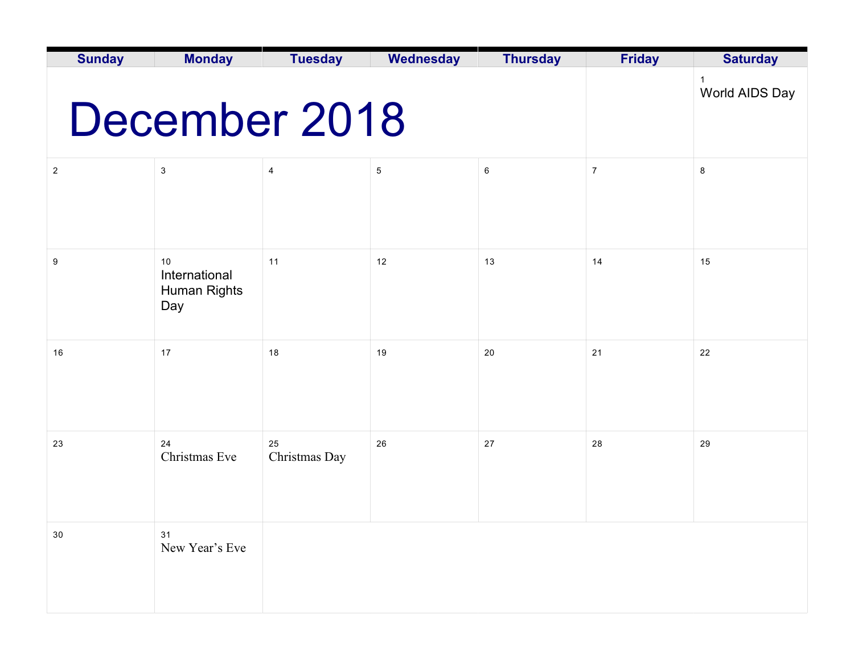| <b>Sunday</b>  | <b>Monday</b>                              | <b>Tuesday</b>      | <b>Wednesday</b>               | <b>Thursday</b> | <b>Friday</b>  | <b>Saturday</b> |
|----------------|--------------------------------------------|---------------------|--------------------------------|-----------------|----------------|-----------------|
|                | December 2018                              |                     | $\mathbf{1}$<br>World AIDS Day |                 |                |                 |
| $\overline{2}$ | 3                                          | 4                   | $\sqrt{5}$                     | 6               | $\overline{7}$ | 8               |
| 9              | 10<br>International<br>Human Rights<br>Day | 11                  | 12                             | 13              | 14             | 15              |
| 16             | 17                                         | 18                  | 19                             | 20              | $21$           | 22              |
| 23             | 24<br>Christmas Eve                        | 25<br>Christmas Day | 26                             | 27              | 28             | 29              |
| $30\,$         | 31<br>New Year's Eve                       |                     |                                |                 |                |                 |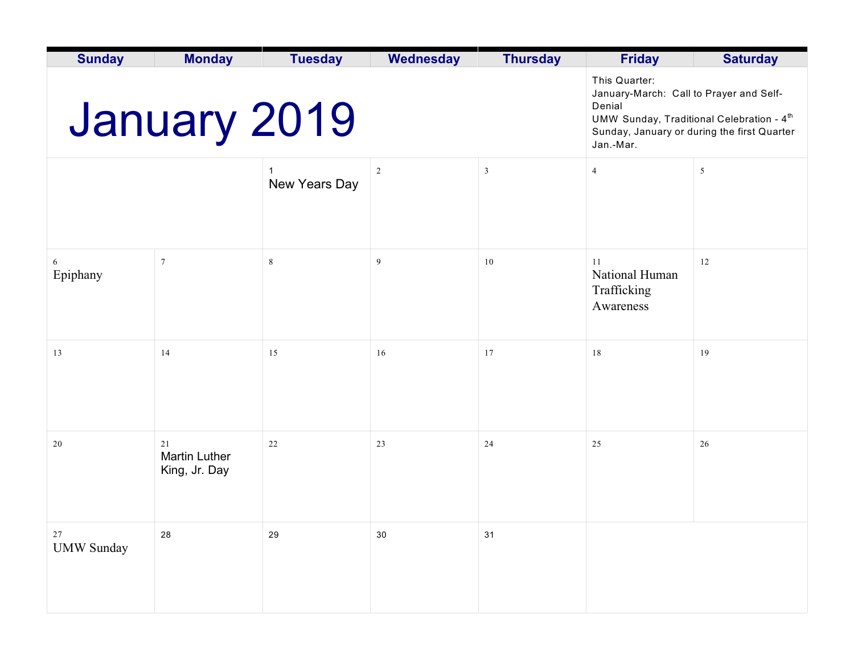| <b>Sunday</b>               | <b>Monday</b>                               | <b>Tuesday</b>                                                                                                                                                                          | <b>Wednesday</b> | <b>Thursday</b> | <b>Friday</b>                                    | <b>Saturday</b> |
|-----------------------------|---------------------------------------------|-----------------------------------------------------------------------------------------------------------------------------------------------------------------------------------------|------------------|-----------------|--------------------------------------------------|-----------------|
|                             | <b>January 2019</b>                         | This Quarter:<br>January-March: Call to Prayer and Self-<br>Denial<br>UMW Sunday, Traditional Celebration - 4 <sup>th</sup><br>Sunday, January or during the first Quarter<br>Jan.-Mar. |                  |                 |                                                  |                 |
|                             |                                             | New Years Day                                                                                                                                                                           | $\overline{2}$   | $\overline{3}$  | $\overline{4}$                                   | 5               |
| 6<br>Epiphany               | $7\phantom{.0}$                             | $\,$ 8 $\,$                                                                                                                                                                             | 9                | 10              | 11<br>National Human<br>Trafficking<br>Awareness | 12              |
| 13                          | 14                                          | 15                                                                                                                                                                                      | 16               | 17              | 18                                               | 19              |
| $20\,$                      | 21<br><b>Martin Luther</b><br>King, Jr. Day | 22                                                                                                                                                                                      | 23               | 24              | 25                                               | 26              |
| $2\,7$<br><b>UMW Sunday</b> | ${\bf 28}$                                  | 29                                                                                                                                                                                      | 30               | 31              |                                                  |                 |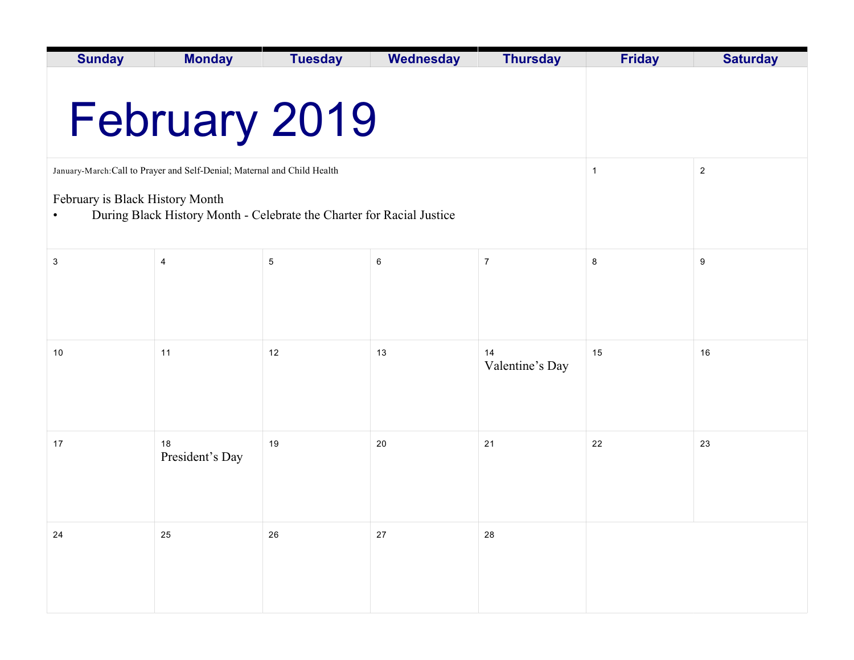| <b>Sunday</b>                                                                                             | <b>Monday</b>                                                         | <b>Tuesday</b> | <b>Wednesday</b> | <b>Thursday</b>       | <b>Friday</b> | <b>Saturday</b>  |  |  |
|-----------------------------------------------------------------------------------------------------------|-----------------------------------------------------------------------|----------------|------------------|-----------------------|---------------|------------------|--|--|
|                                                                                                           |                                                                       |                |                  |                       |               |                  |  |  |
|                                                                                                           |                                                                       | February 2019  |                  |                       |               |                  |  |  |
| January-March:Call to Prayer and Self-Denial; Maternal and Child Health<br>$\overline{c}$<br>$\mathbf{1}$ |                                                                       |                |                  |                       |               |                  |  |  |
| February is Black History Month                                                                           | During Black History Month - Celebrate the Charter for Racial Justice |                |                  |                       |               |                  |  |  |
| 3                                                                                                         | 4                                                                     | 5              | 6                | $\overline{7}$        | 8             | $\boldsymbol{9}$ |  |  |
|                                                                                                           |                                                                       |                |                  |                       |               |                  |  |  |
|                                                                                                           |                                                                       |                |                  |                       |               |                  |  |  |
| 10                                                                                                        | 11                                                                    | 12             | 13               | 14<br>Valentine's Day | 15            | 16               |  |  |
|                                                                                                           |                                                                       |                |                  |                       |               |                  |  |  |
| 17                                                                                                        | 18<br>President's Day                                                 | 19             | 20               | 21                    | 22            | 23               |  |  |
|                                                                                                           |                                                                       |                |                  |                       |               |                  |  |  |
| 24                                                                                                        | 25                                                                    | 26             | 27               | 28                    |               |                  |  |  |
|                                                                                                           |                                                                       |                |                  |                       |               |                  |  |  |
|                                                                                                           |                                                                       |                |                  |                       |               |                  |  |  |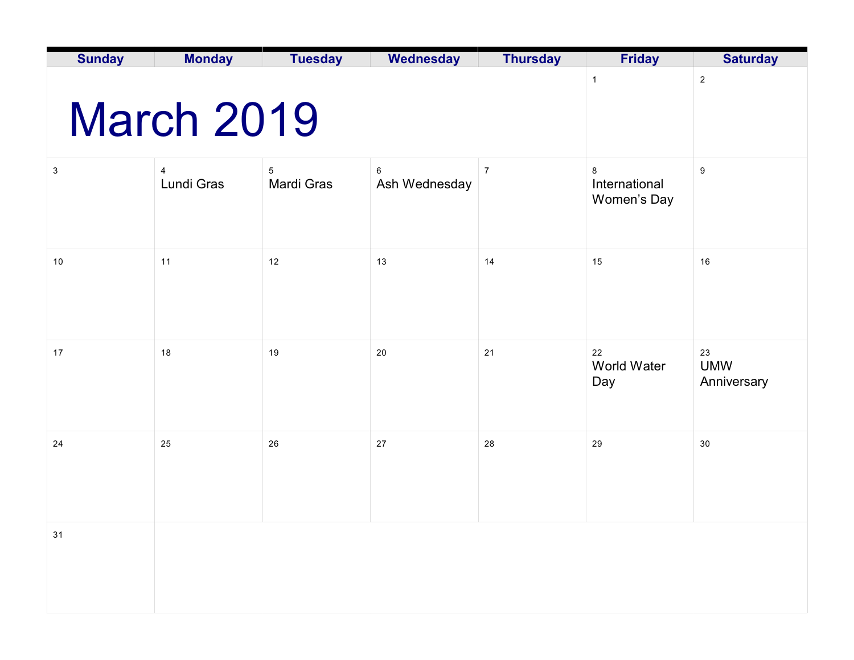| <b>Sunday</b>             | <b>Monday</b>     | <b>Tuesday</b>           | Wednesday          | <b>Thursday</b> | <b>Friday</b>                     | <b>Saturday</b>                 |
|---------------------------|-------------------|--------------------------|--------------------|-----------------|-----------------------------------|---------------------------------|
|                           | <b>March 2019</b> | $\mathbf{1}$             | $\sqrt{2}$         |                 |                                   |                                 |
| $\ensuremath{\mathsf{3}}$ | 4<br>Lundi Gras   | $\sqrt{5}$<br>Mardi Gras | 6<br>Ash Wednesday | $\overline{7}$  | 8<br>International<br>Women's Day | 9                               |
| $10$                      | 11                | 12                       | 13                 | 14              | 15                                | 16                              |
| 17                        | 18                | 19                       | 20                 | 21              | 22<br>World Water<br>Day          | 23<br><b>UMW</b><br>Anniversary |
| 24                        | 25                | $26\,$                   | 27                 | 28              | 29                                | 30                              |
| 31                        |                   |                          |                    |                 |                                   |                                 |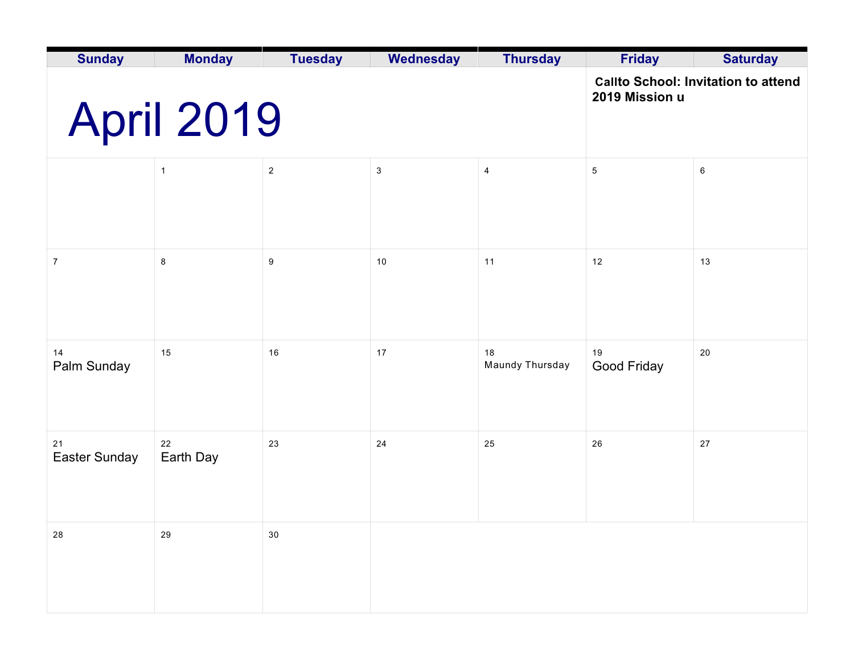| <b>Sunday</b>       | <b>Monday</b>     | <b>Tuesday</b> | <b>Wednesday</b>                           | <b>Thursday</b>       | <b>Friday</b>     | <b>Saturday</b> |
|---------------------|-------------------|----------------|--------------------------------------------|-----------------------|-------------------|-----------------|
|                     | <b>April 2019</b> | 2019 Mission u | <b>Callto School: Invitation to attend</b> |                       |                   |                 |
|                     | $\mathbf{1}$      | $\sqrt{2}$     | $\sqrt{3}$                                 | $\overline{4}$        | $\sqrt{5}$        | $\,6\,$         |
| $\overline{7}$      | $\bf 8$           | 9              | 10                                         | 11                    | 12                | 13              |
| 14<br>Palm Sunday   | 15                | 16             | $17$                                       | 18<br>Maundy Thursday | 19<br>Good Friday | 20              |
| 21<br>Easter Sunday | 22<br>Earth Day   | 23             | 24                                         | 25                    | 26                | 27              |
| 28                  | 29                | $30\,$         |                                            |                       |                   |                 |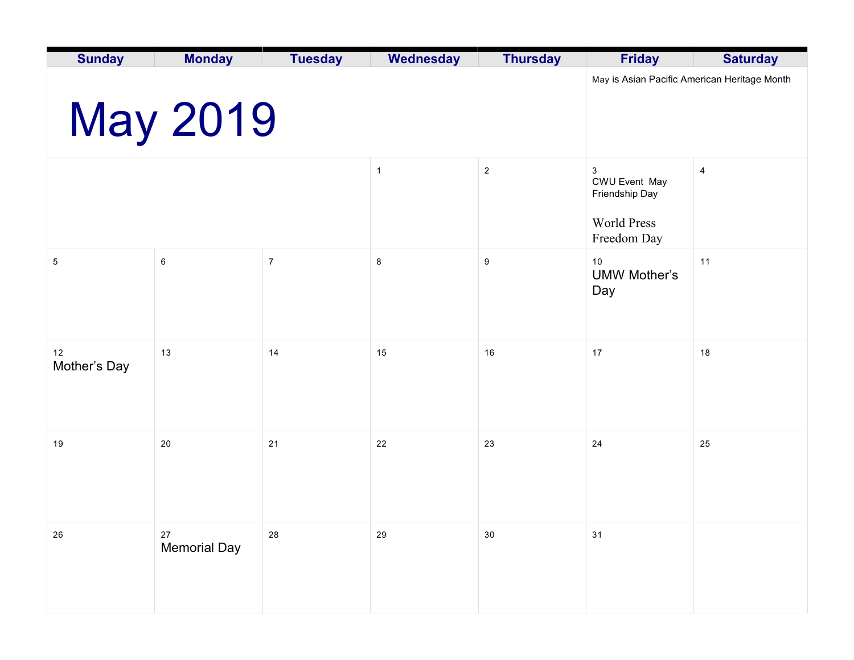| <b>Sunday</b>      | <b>Monday</b>             | <b>Tuesday</b>                               | Wednesday    | <b>Thursday</b> | <b>Friday</b>                                                             | <b>Saturday</b> |
|--------------------|---------------------------|----------------------------------------------|--------------|-----------------|---------------------------------------------------------------------------|-----------------|
|                    | <b>May 2019</b>           | May is Asian Pacific American Heritage Month |              |                 |                                                                           |                 |
|                    |                           |                                              | $\mathbf{1}$ | $\overline{2}$  | 3<br>CWU Event May<br>Friendship Day<br><b>World Press</b><br>Freedom Day | 4               |
| $\mathbf 5$        | $\,6\,$                   | $\boldsymbol{7}$                             | $\bf 8$      | 9               | 10<br><b>UMW Mother's</b><br>Day                                          | 11              |
| 12<br>Mother's Day | 13                        | 14                                           | 15           | 16              | 17                                                                        | 18              |
| 19                 | 20                        | 21                                           | 22           | 23              | 24                                                                        | 25              |
| 26                 | 27<br><b>Memorial Day</b> | 28                                           | 29           | $30\,$          | 31                                                                        |                 |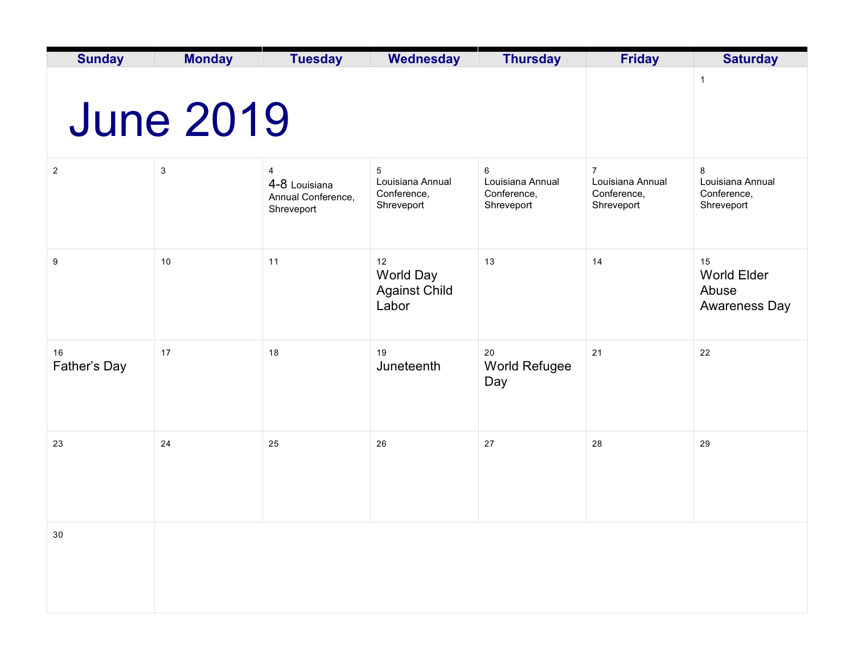| <b>Sunday</b>      | <b>Monday</b>    | <b>Tuesday</b>                                         | <b>Wednesday</b>                                   | <b>Thursday</b>                                    | <b>Friday</b>                                                   | <b>Saturday</b>                                    |
|--------------------|------------------|--------------------------------------------------------|----------------------------------------------------|----------------------------------------------------|-----------------------------------------------------------------|----------------------------------------------------|
|                    | <b>June 2019</b> |                                                        | $\mathbf{1}$                                       |                                                    |                                                                 |                                                    |
| $\overline{2}$     | 3                | 4<br>4-8 Louisiana<br>Annual Conference,<br>Shreveport | 5<br>Louisiana Annual<br>Conference,<br>Shreveport | 6<br>Louisiana Annual<br>Conference,<br>Shreveport | $\overline{7}$<br>Louisiana Annual<br>Conference,<br>Shreveport | 8<br>Louisiana Annual<br>Conference,<br>Shreveport |
| 9                  | 10               | 11                                                     | 12<br>World Day<br><b>Against Child</b><br>Labor   | 13                                                 | 14                                                              | 15<br><b>World Elder</b><br>Abuse<br>Awareness Day |
| 16<br>Father's Day | 17               | 18                                                     | 19<br>Juneteenth                                   | 20<br>World Refugee<br>Day                         | 21                                                              | 22                                                 |
| 23                 | 24               | 25                                                     | 26                                                 | 27                                                 | 28                                                              | 29                                                 |
| 30                 |                  |                                                        |                                                    |                                                    |                                                                 |                                                    |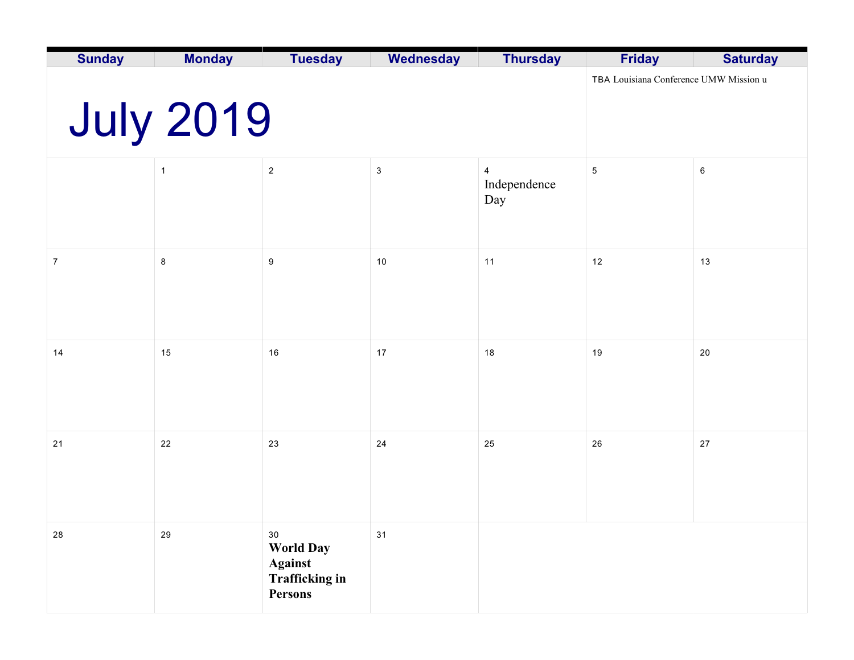| <b>Sunday</b>  | <b>Monday</b>    | <b>Tuesday</b>                                                                      | Wednesday    | <b>Thursday</b>                       | <b>Friday</b> | <b>Saturday</b> |
|----------------|------------------|-------------------------------------------------------------------------------------|--------------|---------------------------------------|---------------|-----------------|
|                | <b>July 2019</b> | TBA Louisiana Conference UMW Mission u                                              |              |                                       |               |                 |
|                | $\mathbf{1}$     | $\sqrt{2}$                                                                          | $\mathbf{3}$ | $\overline{4}$<br>Independence<br>Day | $\,$ 5 $\,$   | $\,6\,$         |
| $\overline{7}$ | $\bf 8$          | $\boldsymbol{9}$                                                                    | $10\,$       | 11                                    | 12            | 13              |
| 14             | 15               | 16                                                                                  | 17           | 18                                    | 19            | 20              |
| 21             | 22               | 23                                                                                  | 24           | 25                                    | 26            | 27              |
| 28             | 29               | 30<br><b>World Day</b><br><b>Against</b><br><b>Trafficking in</b><br><b>Persons</b> | 31           |                                       |               |                 |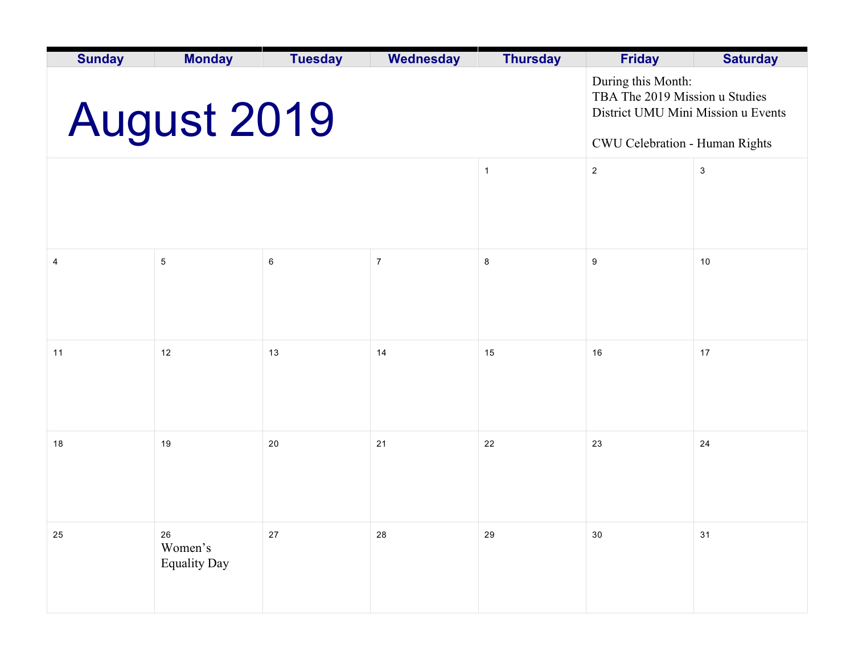| <b>Sunday</b> | <b>Monday</b>                        | <b>Tuesday</b>                                                                                                               | <b>Wednesday</b> | <b>Thursday</b> | <b>Friday</b>    | <b>Saturday</b> |
|---------------|--------------------------------------|------------------------------------------------------------------------------------------------------------------------------|------------------|-----------------|------------------|-----------------|
|               | <b>August 2019</b>                   | During this Month:<br>TBA The 2019 Mission u Studies<br>District UMU Mini Mission u Events<br>CWU Celebration - Human Rights |                  |                 |                  |                 |
|               |                                      |                                                                                                                              |                  | $\mathbf{1}$    | $\sqrt{2}$       | 3               |
|               |                                      |                                                                                                                              |                  |                 |                  |                 |
|               |                                      |                                                                                                                              |                  |                 |                  |                 |
| 4             | $\,$ 5 $\,$                          | 6                                                                                                                            | $\overline{7}$   | 8               | $\boldsymbol{9}$ | 10              |
|               |                                      |                                                                                                                              |                  |                 |                  |                 |
|               |                                      |                                                                                                                              |                  |                 |                  |                 |
| 11            | 12                                   | 13                                                                                                                           | 14               | 15              | 16               | 17              |
|               |                                      |                                                                                                                              |                  |                 |                  |                 |
|               |                                      |                                                                                                                              |                  |                 |                  |                 |
| 18            | 19                                   | 20                                                                                                                           | 21               | 22              | 23               | 24              |
|               |                                      |                                                                                                                              |                  |                 |                  |                 |
|               |                                      |                                                                                                                              |                  |                 |                  |                 |
| $25\,$        | 26<br>Women's<br><b>Equality Day</b> | $27\,$                                                                                                                       | 28               | 29              | $30\,$           | 31              |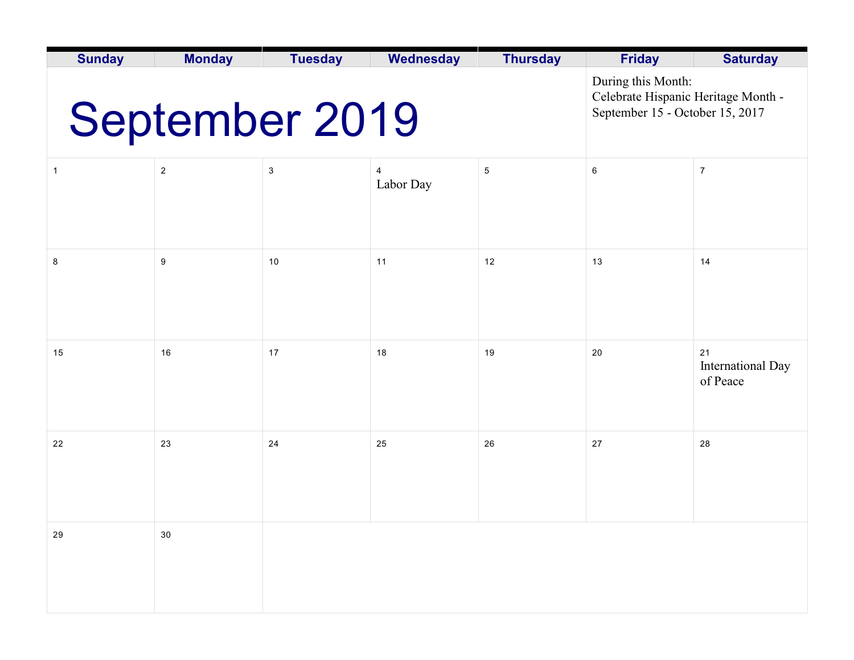| <b>Sunday</b>         | <b>Monday</b> | <b>Tuesday</b> | <b>Wednesday</b>            | <b>Thursday</b> | <b>Friday</b>                                                                                | <b>Saturday</b>                            |
|-----------------------|---------------|----------------|-----------------------------|-----------------|----------------------------------------------------------------------------------------------|--------------------------------------------|
| <b>September 2019</b> |               |                |                             |                 | During this Month:<br>Celebrate Hispanic Heritage Month -<br>September 15 - October 15, 2017 |                                            |
| 1                     | $\sqrt{2}$    | 3              | $\overline{4}$<br>Labor Day | $\sqrt{5}$      | $\,6\,$                                                                                      | $\overline{7}$                             |
| 8                     | 9             | 10             | 11                          | 12              | 13                                                                                           | 14                                         |
| 15                    | 16            | 17             | 18                          | 19              | 20                                                                                           | 21<br><b>International Day</b><br>of Peace |
| 22                    | 23            | 24             | 25                          | 26              | 27                                                                                           | 28                                         |
| 29                    | $30\,$        |                |                             |                 |                                                                                              |                                            |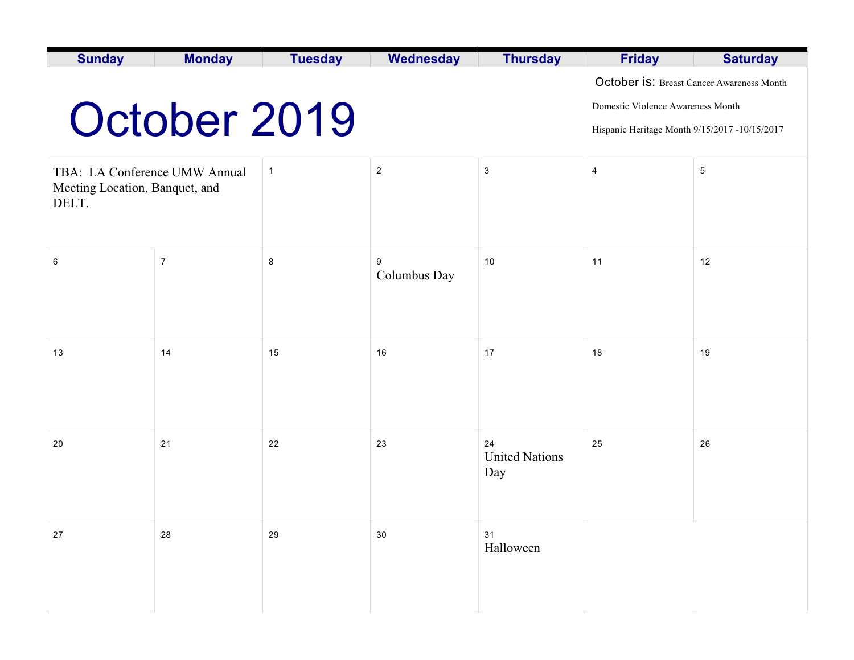| <b>Sunday</b>                                                            | <b>Monday</b>  | <b>Tuesday</b>                                                                                                                  | <b>Wednesday</b>  | <b>Thursday</b>                    | <b>Friday</b>           | <b>Saturday</b> |
|--------------------------------------------------------------------------|----------------|---------------------------------------------------------------------------------------------------------------------------------|-------------------|------------------------------------|-------------------------|-----------------|
|                                                                          | October 2019   | October is: Breast Cancer Awareness Month<br>Domestic Violence Awareness Month<br>Hispanic Heritage Month 9/15/2017 -10/15/2017 |                   |                                    |                         |                 |
| TBA: LA Conference UMW Annual<br>Meeting Location, Banquet, and<br>DELT. |                | $\mathbf{1}$                                                                                                                    | $\overline{2}$    | $\sqrt{3}$                         | $\overline{\mathbf{4}}$ | $\,$ 5 $\,$     |
| 6                                                                        | $\overline{7}$ | 8                                                                                                                               | 9<br>Columbus Day | 10                                 | 11                      | 12              |
| 13                                                                       | 14             | 15                                                                                                                              | 16                | 17                                 | 18                      | 19              |
| 20                                                                       | 21             | 22                                                                                                                              | 23                | 24<br><b>United Nations</b><br>Day | 25                      | 26              |
| $27\,$                                                                   | 28             | 29                                                                                                                              | $30\,$            | 31<br>Halloween                    |                         |                 |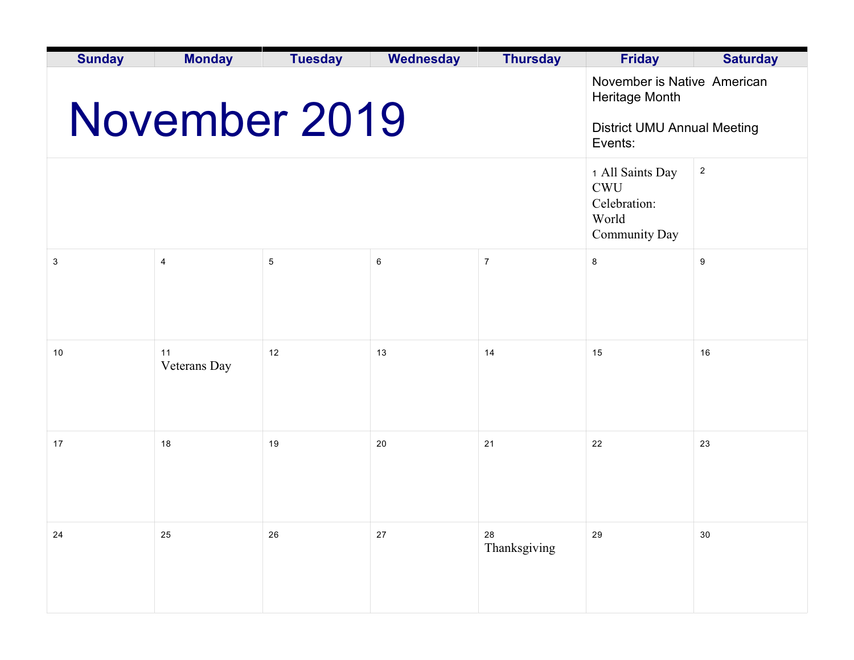| <b>Sunday</b> | <b>Monday</b>      | <b>Tuesday</b>                                                                                 | <b>Wednesday</b> | <b>Thursday</b>    | <b>Friday</b> | <b>Saturday</b> |
|---------------|--------------------|------------------------------------------------------------------------------------------------|------------------|--------------------|---------------|-----------------|
|               | November 2019      | November is Native American<br>Heritage Month<br><b>District UMU Annual Meeting</b><br>Events: |                  |                    |               |                 |
|               |                    | 1 All Saints Day<br><b>CWU</b><br>Celebration:<br>World<br>Community Day                       | $\sqrt{2}$       |                    |               |                 |
| 3             | $\overline{4}$     | $\sqrt{5}$                                                                                     | 6                | $\overline{7}$     | $\bf 8$       | 9               |
|               |                    |                                                                                                |                  |                    |               |                 |
| 10            | 11<br>Veterans Day | 12                                                                                             | 13               | 14                 | 15            | 16              |
| 17            | 18                 | 19                                                                                             | 20               | 21                 | 22            | 23              |
| 24            | 25                 | 26                                                                                             | 27               | 28<br>Thanksgiving | 29            | $30\,$          |